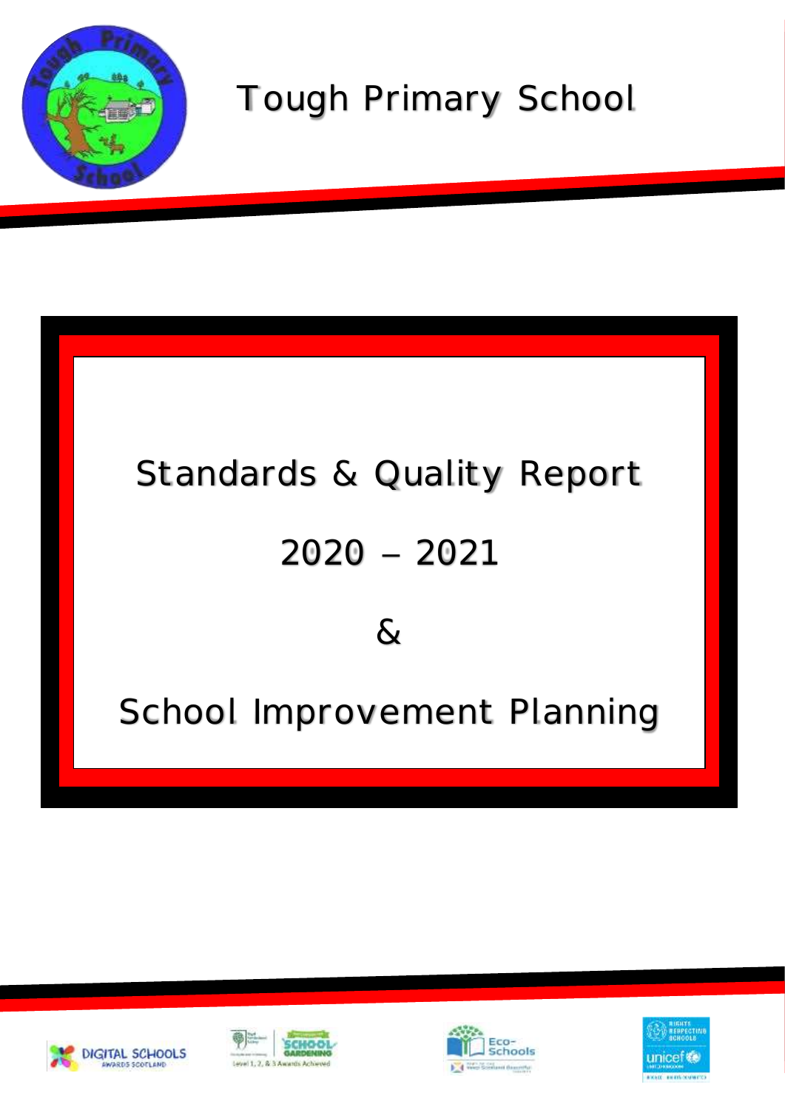

## Tough Primary School

# Standards & Quality Report  $2020 - 2021$  $8<sub>l</sub>$ School Improvement Planning

2021 -2022







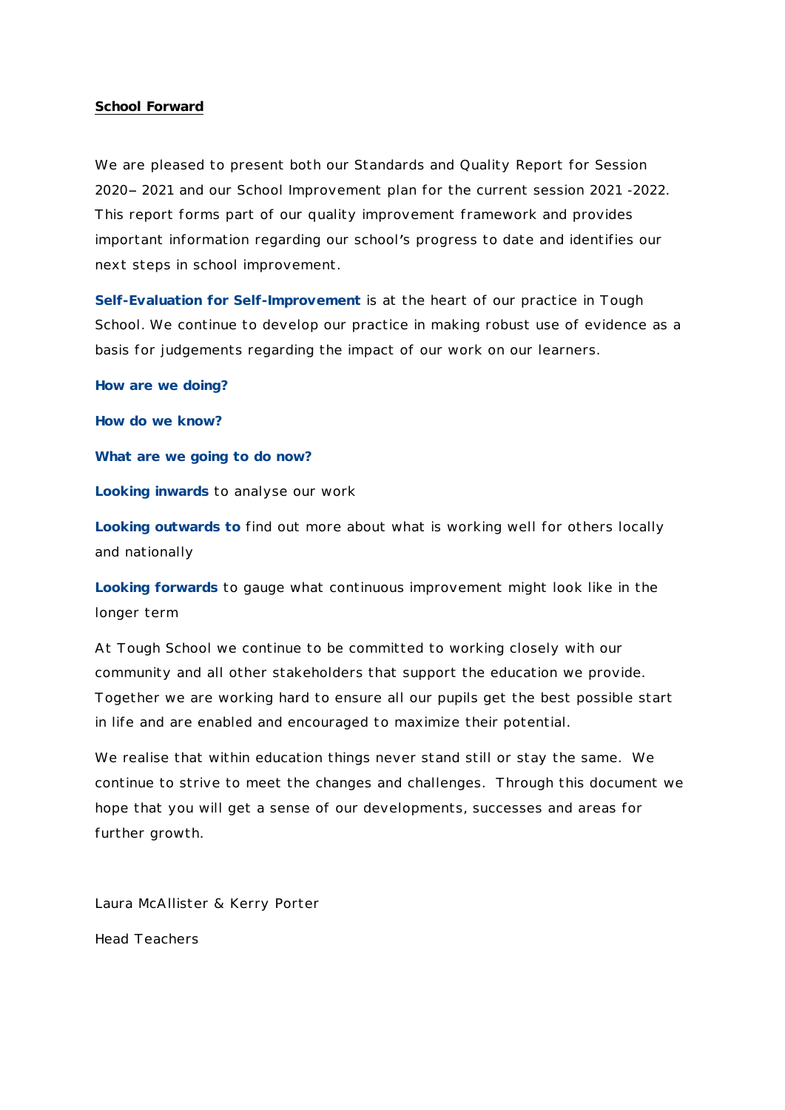#### **School Forward**

We are pleased to present both our Standards and Quality Report for Session 2020 2021 and our School Improvement plan for the current session 2021 -2022. This report forms part of our quality improvement framework and provides important information regarding our school's progress to date and identifies our next steps in school improvement.

**Self-Evaluation for Self-Improvement** is at the heart of our practice in Tough School. We continue to develop our practice in making robust use of evidence as a basis for judgements regarding the impact of our work on our learners.

**How are we doing?** 

**How do we know?**

**What are we going to do now?**

**Looking inwards** to analyse our work

**Looking outwards to** find out more about what is working well for others locally and nationally

**Looking forwards** to gauge what continuous improvement might look like in the longer term

At Tough School we continue to be committed to working closely with our community and all other stakeholders that support the education we provide. Together we are working hard to ensure all our pupils get the best possible start in life and are enabled and encouraged to maximize their potential.

We realise that within education things never stand still or stay the same. We continue to strive to meet the changes and challenges. Through this document we hope that you will get a sense of our developments, successes and areas for further growth.

Laura McAllister & Kerry Porter

Head Teachers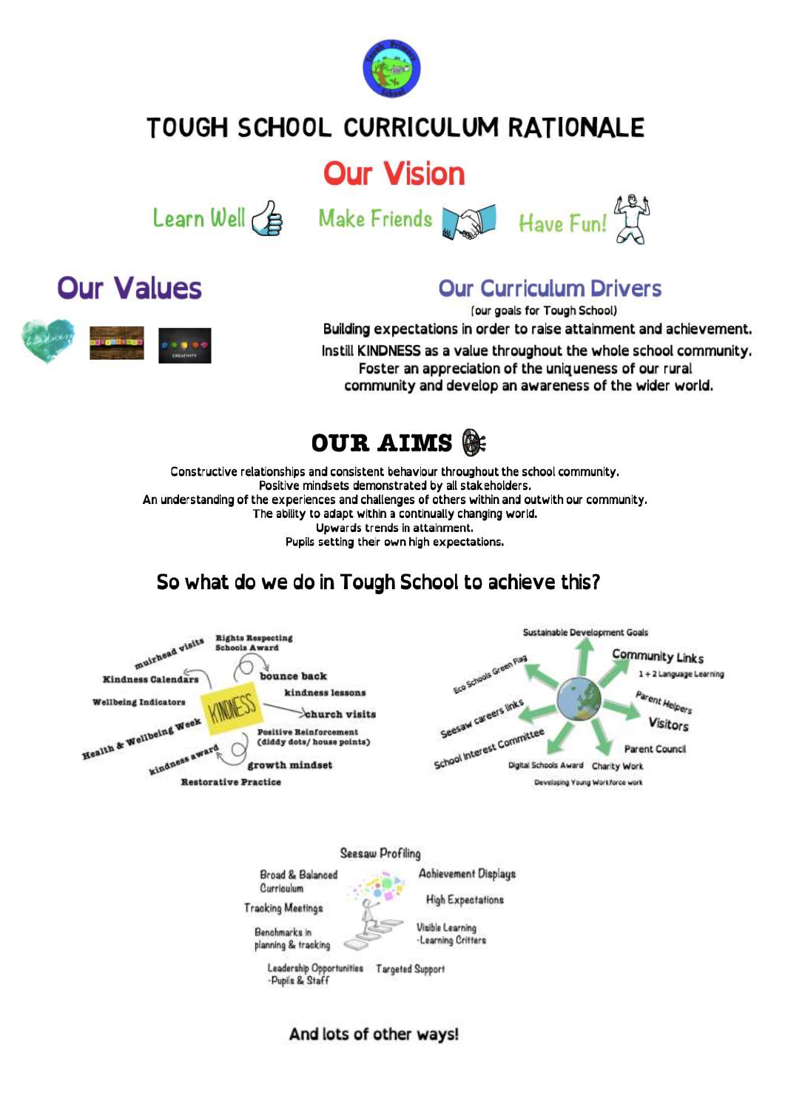

## TOUGH SCHOOL CURRICULUM RATIONALE

## **Our Vision**





## **Our Values**



(our goals for Tough School)<br>**Building expectations in order to raise attainment and achievement.** Instill KINDNESS as a value throughout the whole school community. Foster an appreciation of the uniqueness of our rural community and develop an awareness of the wider world.



Constructive relationships and consistent behaviour throughout the school community. Positive mindsets demonstrated by all stakeholders. An understanding of the experiences and challenges of others within and outwith our community. The ability to adapt within a continually changing world. Upwards trends in attainment. Pupils setting their own high expectations.

## So what do we do in Tough School to achieve this?





And lots of other ways!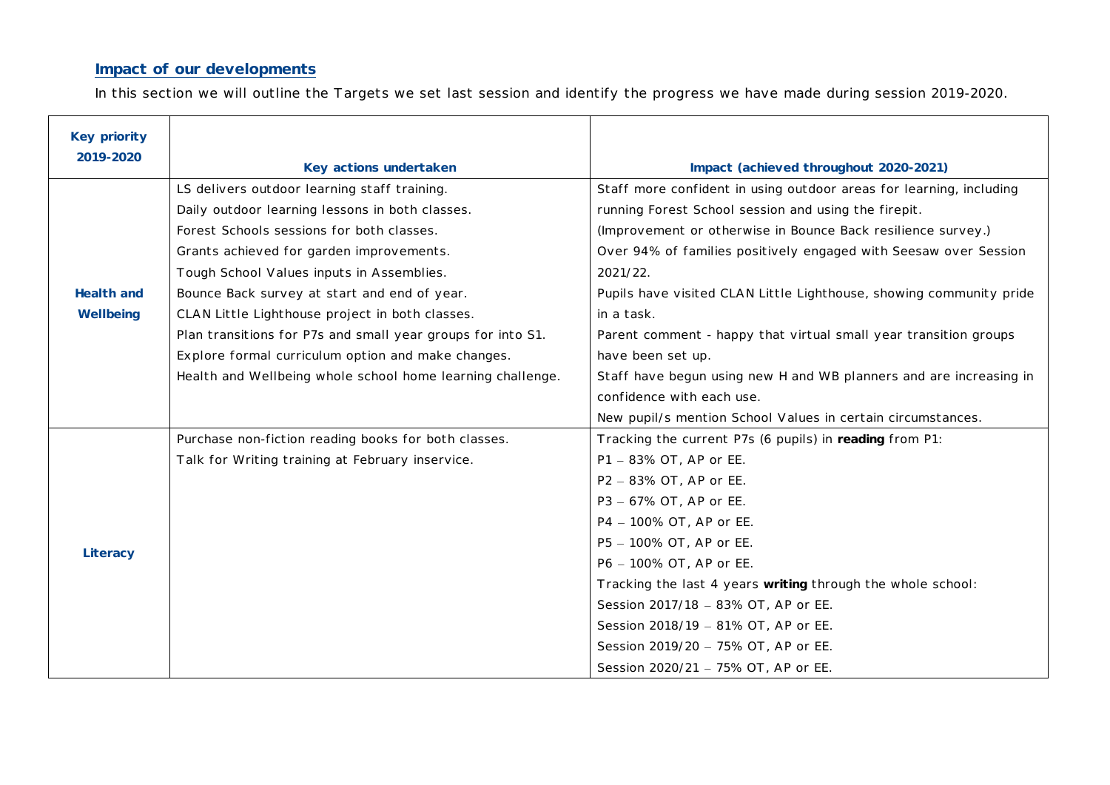#### **Impact of our developments**

In this section we will outline the Targets we set last session and identify the progress we have made during session 2019-2020.

| Key priority |                                                             |                                                                     |  |  |  |
|--------------|-------------------------------------------------------------|---------------------------------------------------------------------|--|--|--|
| 2019-2020    | Key actions undertaken                                      | Impact (achieved throughout 2020-2021)                              |  |  |  |
|              | LS delivers outdoor learning staff training.                | Staff more confident in using outdoor areas for learning, including |  |  |  |
|              | Daily outdoor learning lessons in both classes.             | running Forest School session and using the firepit.                |  |  |  |
|              | Forest Schools sessions for both classes.                   | (Improvement or otherwise in Bounce Back resilience survey.)        |  |  |  |
|              | Grants achieved for garden improvements.                    | Over 94% of families positively engaged with Seesaw over Session    |  |  |  |
|              | Tough School Values inputs in Assemblies.                   | 2021/22.                                                            |  |  |  |
| Health and   | Bounce Back survey at start and end of year.                | Pupils have visited CLAN Little Lighthouse, showing community pride |  |  |  |
| Wellbeing    | CLAN Little Lighthouse project in both classes.             | in a task.                                                          |  |  |  |
|              | Plan transitions for P7s and small year groups for into S1. | Parent comment - happy that virtual small year transition groups    |  |  |  |
|              | Explore formal curriculum option and make changes.          | have been set up.                                                   |  |  |  |
|              | Health and Wellbeing whole school home learning challenge.  | Staff have begun using new H and WB planners and are increasing in  |  |  |  |
|              |                                                             | confidence with each use.                                           |  |  |  |
|              |                                                             | New pupil/s mention School Values in certain circumstances.         |  |  |  |
|              | Purchase non-fiction reading books for both classes.        | Tracking the current P7s (6 pupils) in reading from P1:             |  |  |  |
|              | Talk for Writing training at February inservice.            | P1 - 83% OT, AP or EE.                                              |  |  |  |
|              |                                                             | P2 - 83% OT, AP or EE.                                              |  |  |  |
|              |                                                             | P3 - 67% OT, AP or EE.                                              |  |  |  |
|              |                                                             | P4 - 100% OT, AP or EE.                                             |  |  |  |
|              |                                                             | P5 - 100% OT, AP or EE.                                             |  |  |  |
| Literacy     |                                                             | P6 - 100% OT, AP or EE.                                             |  |  |  |
|              |                                                             | Tracking the last 4 years writing through the whole school:         |  |  |  |
|              |                                                             | Session 2017/18 - 83% OT, AP or EE.                                 |  |  |  |
|              |                                                             | Session 2018/19 - 81% OT, AP or EE.                                 |  |  |  |
|              |                                                             | Session 2019/20 - 75% OT, AP or EE.                                 |  |  |  |
|              |                                                             | Session 2020/21 - 75% OT, AP or EE.                                 |  |  |  |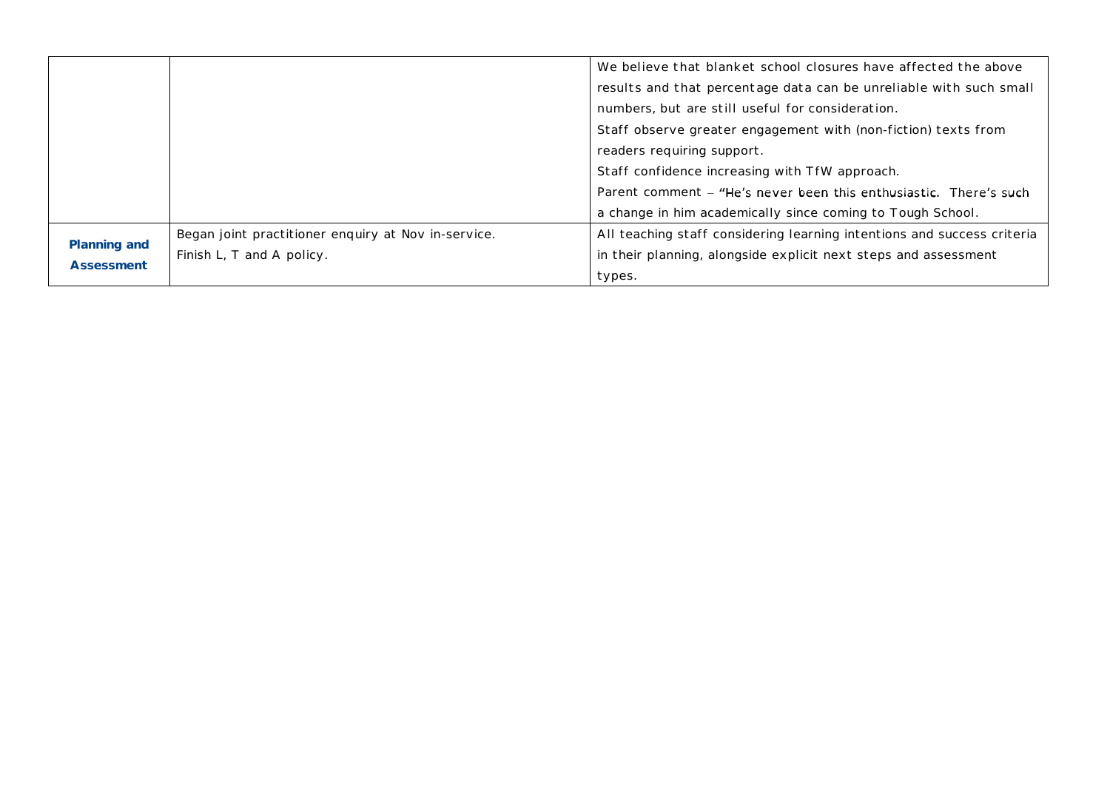|              |                                                     | We believe that blanket school closures have affected the above         |  |  |
|--------------|-----------------------------------------------------|-------------------------------------------------------------------------|--|--|
|              |                                                     | results and that percentage data can be unreliable with such small      |  |  |
|              |                                                     | numbers, but are still useful for consideration.                        |  |  |
|              |                                                     | Staff observe greater engagement with (non-fiction) texts from          |  |  |
|              |                                                     | readers requiring support.                                              |  |  |
|              |                                                     | Staff confidence increasing with TfW approach.                          |  |  |
|              |                                                     | Parent comment – "He's never been this enthusiastic. There's such       |  |  |
|              |                                                     | a change in him academically since coming to Tough School.              |  |  |
|              | Began joint practitioner enquiry at Nov in-service. | All teaching staff considering learning intentions and success criteria |  |  |
| Planning and | Finish L, T and A policy.                           | in their planning, alongside explicit next steps and assessment         |  |  |
| Assessment   |                                                     | types.                                                                  |  |  |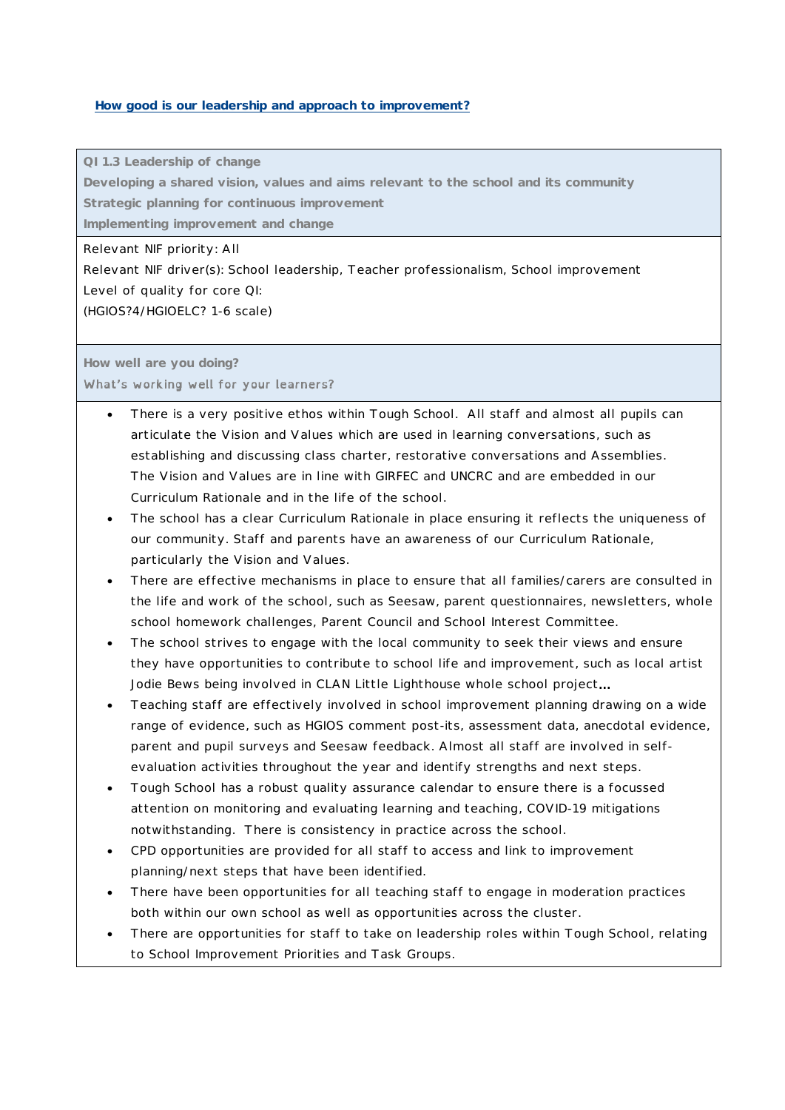#### **How good is our leadership and approach to improvement?**

**QI 1.3 Leadership of change**

**Developing a shared vision, values and aims relevant to the school and its community Strategic planning for continuous improvement**

**Implementing improvement and change**

Relevant NIF priority: All

Relevant NIF driver(s): School leadership, Teacher professionalism, School improvement Level of quality for core QI:

(HGIOS?4/HGIOELC? 1-6 scale)

**How well are you doing?** What's working well for your learners?

- There is a very positive ethos within Tough School. All staff and almost all pupils can articulate the Vision and Values which are used in learning conversations, such as establishing and discussing class charter, restorative conversations and Assemblies. The Vision and Values are in line with GIRFEC and UNCRC and are embedded in our Curriculum Rationale and in the life of the school.
- The school has a clear Curriculum Rationale in place ensuring it reflects the uniqueness of our community. Staff and parents have an awareness of our Curriculum Rationale, particularly the Vision and Values.
- There are effective mechanisms in place to ensure that all families/carers are consulted in the life and work of the school, such as Seesaw, parent questionnaires, newsletters, whole school homework challenges, Parent Council and School Interest Committee.
- The school strives to engage with the local community to seek their views and ensure they have opportunities to contribute to school life and improvement, such as local artist Jodie Bews being involved in CLAN Little Lighthouse whole school project...
- Teaching staff are effectively involved in school improvement planning drawing on a wide range of evidence, such as HGIOS comment post-its, assessment data, anecdotal evidence, parent and pupil surveys and Seesaw feedback. Almost all staff are involved in selfevaluation activities throughout the year and identify strengths and next steps.
- Tough School has a robust quality assurance calendar to ensure there is a focussed attention on monitoring and evaluating learning and teaching, COVID-19 mitigations notwithstanding. There is consistency in practice across the school.
- CPD opportunities are provided for all staff to access and link to improvement planning/next steps that have been identified.
- There have been opportunities for all teaching staff to engage in moderation practices both within our own school as well as opportunities across the cluster.
- There are opportunities for staff to take on leadership roles within Tough School, relating to School Improvement Priorities and Task Groups.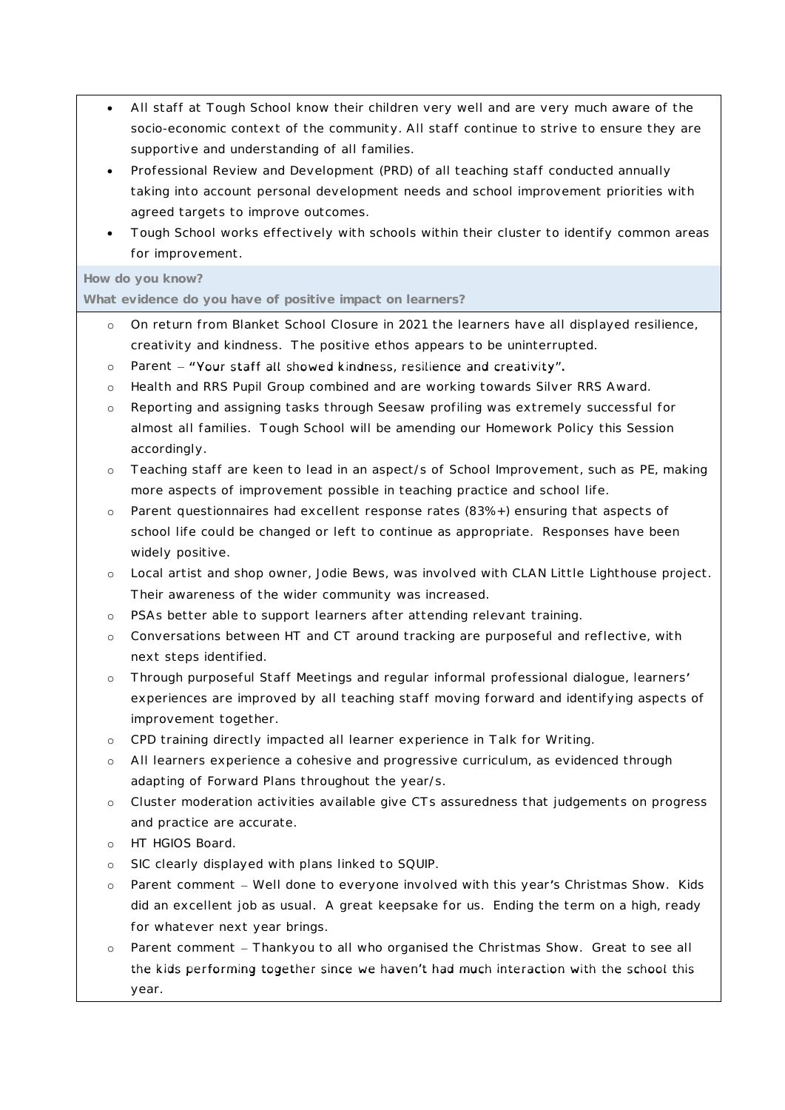- All staff at Tough School know their children very well and are very much aware of the socio-economic context of the community. All staff continue to strive to ensure they are supportive and understanding of all families.
- Professional Review and Development (PRD) of all teaching staff conducted annually taking into account personal development needs and school improvement priorities with agreed targets to improve outcomes.
- Tough School works effectively with schools within their cluster to identify common areas for improvement.

#### **How do you know?**

**What evidence do you have of positive impact on learners?**

- o On return from Blanket School Closure in 2021 the learners have all displayed resilience, creativity and kindness. The positive ethos appears to be uninterrupted.
- $\circ$  Parent "Your staff all showed kindness, resilience and creativity".
- o Health and RRS Pupil Group combined and are working towards Silver RRS Award.
- o Reporting and assigning tasks through Seesaw profiling was extremely successful for almost all families. Tough School will be amending our Homework Policy this Session accordingly.
- o Teaching staff are keen to lead in an aspect/s of School Improvement, such as PE, making more aspects of improvement possible in teaching practice and school life.
- o Parent questionnaires had excellent response rates (83%+) ensuring that aspects of school life could be changed or left to continue as appropriate. Responses have been widely positive.
- o Local artist and shop owner, Jodie Bews, was involved with CLAN Little Lighthouse project. Their awareness of the wider community was increased.
- o PSAs better able to support learners after attending relevant training.
- o Conversations between HT and CT around tracking are purposeful and reflective, with next steps identified.
- o Through purposeful Staff Meetings and regular informal professional dialogue, learners experiences are improved by all teaching staff moving forward and identifying aspects of improvement together.
- o CPD training directly impacted all learner experience in Talk for Writing.
- o All learners experience a cohesive and progressive curriculum, as evidenced through adapting of Forward Plans throughout the year/s.
- o Cluster moderation activities available give CTs assuredness that judgements on progress and practice are accurate.
- o HT HGIOS Board.
- o SIC clearly displayed with plans linked to SQUIP.
- o Parent comment Well done to everyone involved with this year's Christmas Show. Kids did an excellent job as usual. A great keepsake for us. Ending the term on a high, ready for whatever next year brings.
- o Parent comment Thankyou to all who organised the Christmas Show. Great to see all the kids performing together since we haven't had much interaction with the school this year.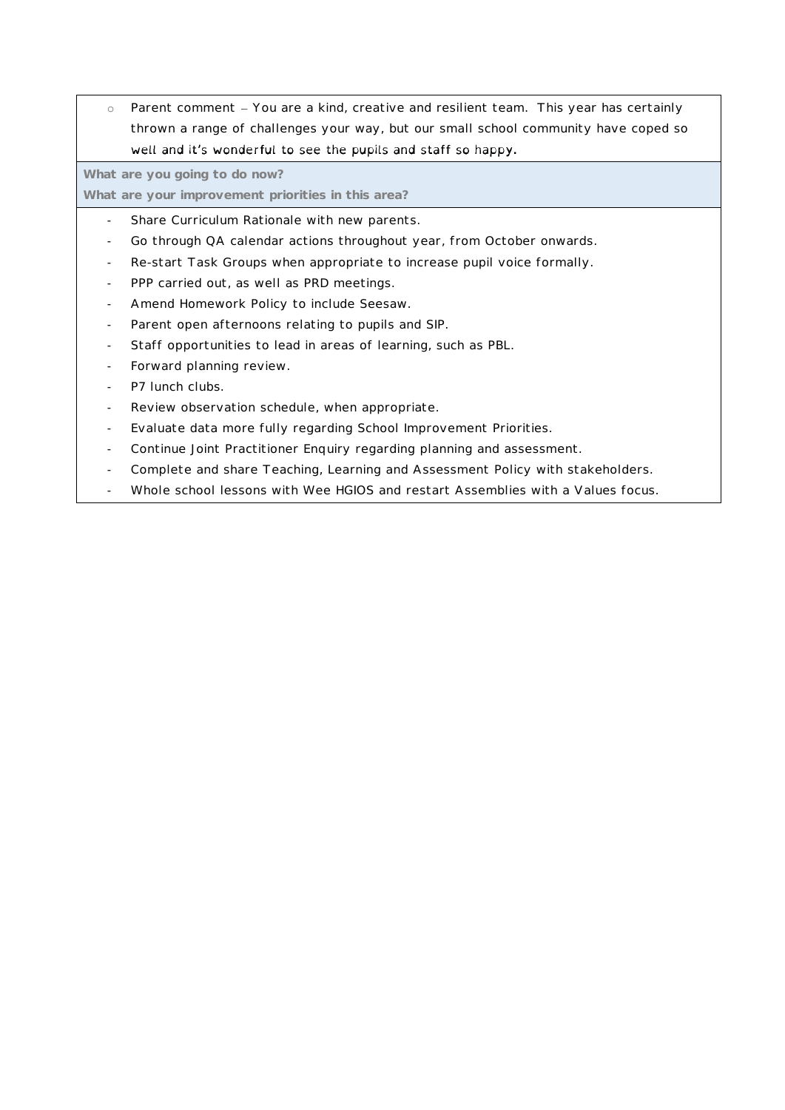o Parent comment - You are a kind, creative and resilient team. This year has certainly thrown a range of challenges your way, but our small school community have coped so well and it's wonderful to see the pupils and staff so happy.

**What are you going to do now?**

**What are your improvement priorities in this area?**

- Share Curriculum Rationale with new parents.
- Go through QA calendar actions throughout year, from October onwards.
- Re-start Task Groups when appropriate to increase pupil voice formally.
- PPP carried out, as well as PRD meetings.
- Amend Homework Policy to include Seesaw.
- Parent open afternoons relating to pupils and SIP.
- Staff opportunities to lead in areas of learning, such as PBL.
- Forward planning review.
- P7 lunch clubs.
- Review observation schedule, when appropriate.
- Evaluate data more fully regarding School Improvement Priorities.
- Continue Joint Practitioner Enquiry regarding planning and assessment.
- Complete and share Teaching, Learning and Assessment Policy with stakeholders.
- Whole school lessons with Wee HGIOS and restart Assemblies with a Values focus.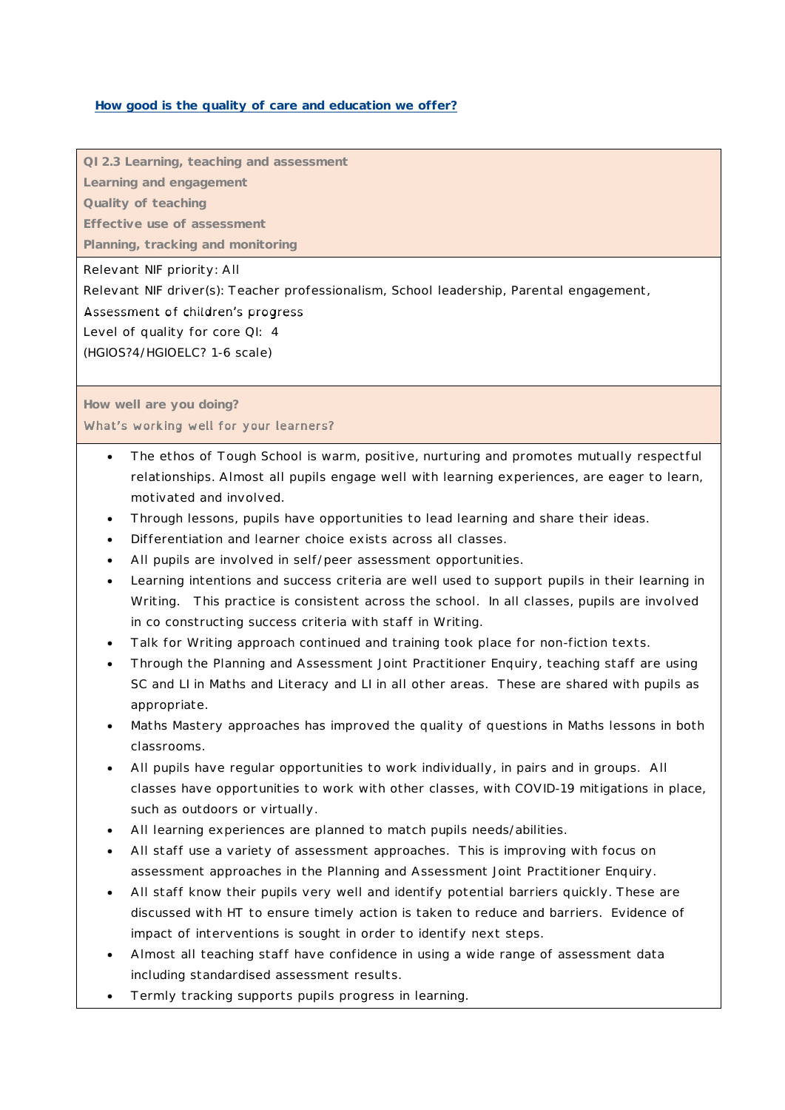#### **How good is the quality of care and education we offer?**

**QI 2.3 Learning, teaching and assessment**

**Learning and engagement**

**Quality of teaching**

**Effective use of assessment**

**Planning, tracking and monitoring**

Relevant NIF priority: All

Relevant NIF driver(s): Teacher professionalism, School leadership, Parental engagement,

Assessment of children's progress

Level of quality for core QI: 4

(HGIOS?4/HGIOELC? 1-6 scale)

**How well are you doing?**

What's working well for your learners?

- The ethos of Tough School is warm, positive, nurturing and promotes mutually respectful relationships. Almost all pupils engage well with learning experiences, are eager to learn, motivated and involved.
- Through lessons, pupils have opportunities to lead learning and share their ideas.
- Differentiation and learner choice exists across all classes.
- All pupils are involved in self/peer assessment opportunities.
- Learning intentions and success criteria are well used to support pupils in their learning in Writing. This practice is consistent across the school. In all classes, pupils are involved in co constructing success criteria with staff in Writing.
- Talk for Writing approach continued and training took place for non-fiction texts.
- Through the Planning and Assessment Joint Practitioner Enquiry, teaching staff are using SC and LI in Maths and Literacy and LI in all other areas. These are shared with pupils as appropriate.
- Maths Mastery approaches has improved the quality of questions in Maths lessons in both classrooms.
- All pupils have regular opportunities to work individually, in pairs and in groups. All classes have opportunities to work with other classes, with COVID-19 mitigations in place, such as outdoors or virtually.
- All learning experiences are planned to match pupils needs/abilities.
- All staff use a variety of assessment approaches. This is improving with focus on assessment approaches in the Planning and Assessment Joint Practitioner Enquiry.
- All staff know their pupils very well and identify potential barriers quickly. These are discussed with HT to ensure timely action is taken to reduce and barriers. Evidence of impact of interventions is sought in order to identify next steps.
- Almost all teaching staff have confidence in using a wide range of assessment data including standardised assessment results.
- Termly tracking supports pupils progress in learning.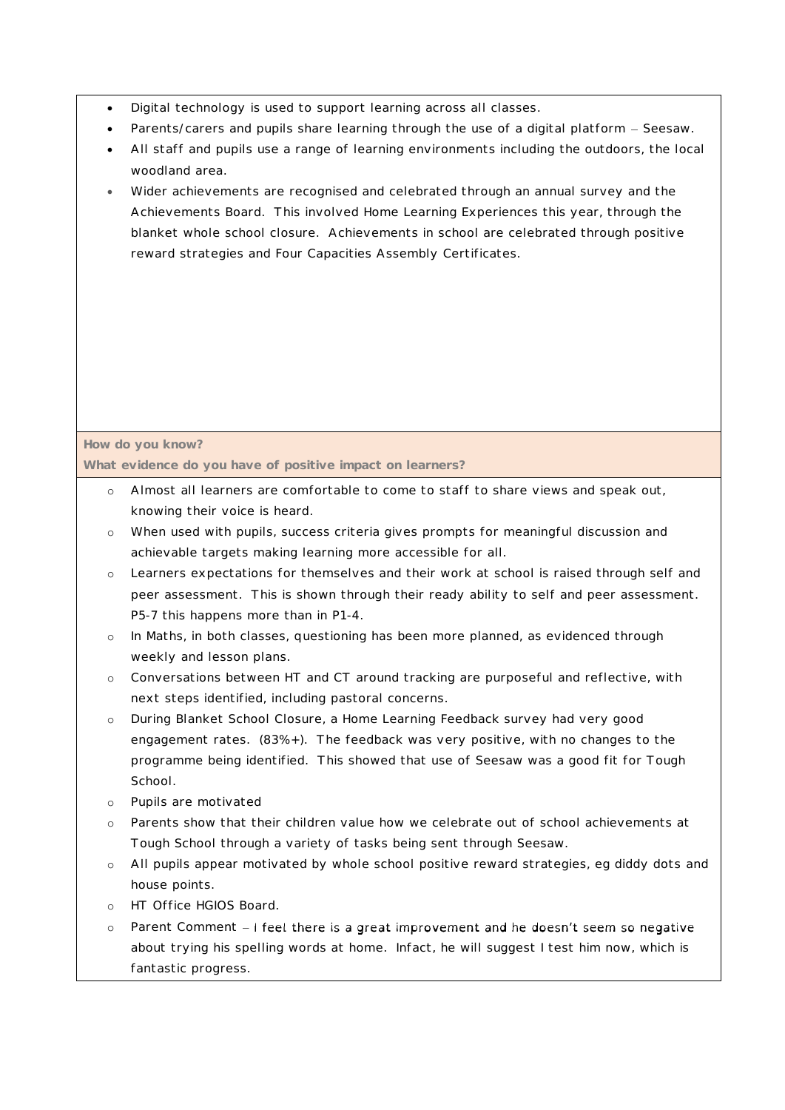- Digital technology is used to support learning across all classes.
- Parents/carers and pupils share learning through the use of a digital platform Seesaw.
- All staff and pupils use a range of learning environments including the outdoors, the local woodland area.
- Wider achievements are recognised and celebrated through an annual survey and the Achievements Board. This involved Home Learning Experiences this year, through the blanket whole school closure. Achievements in school are celebrated through positive reward strategies and Four Capacities Assembly Certificates.

## **How do you know?**

**What evidence do you have of positive impact on learners?**

- o Almost all learners are comfortable to come to staff to share views and speak out, knowing their voice is heard.
- o When used with pupils, success criteria gives prompts for meaningful discussion and achievable targets making learning more accessible for all.
- o Learners expectations for themselves and their work at school is raised through self and peer assessment. This is shown through their ready ability to self and peer assessment. P5-7 this happens more than in P1-4.
- o In Maths, in both classes, questioning has been more planned, as evidenced through weekly and lesson plans.
- o Conversations between HT and CT around tracking are purposeful and reflective, with next steps identified, including pastoral concerns.
- o During Blanket School Closure, a Home Learning Feedback survey had very good engagement rates. (83%+). The feedback was very positive, with no changes to the programme being identified. This showed that use of Seesaw was a good fit for Tough School.
- o Pupils are motivated
- o Parents show that their children value how we celebrate out of school achievements at Tough School through a variety of tasks being sent through Seesaw.
- o All pupils appear motivated by whole school positive reward strategies, eg diddy dots and house points.
- o HT Office HGIOS Board.
- $\circ$  Parent Comment I feel there is a great improvement and he doesn't seem so negative about trying his spelling words at home. Infact, he will suggest I test him now, which is fantastic progress.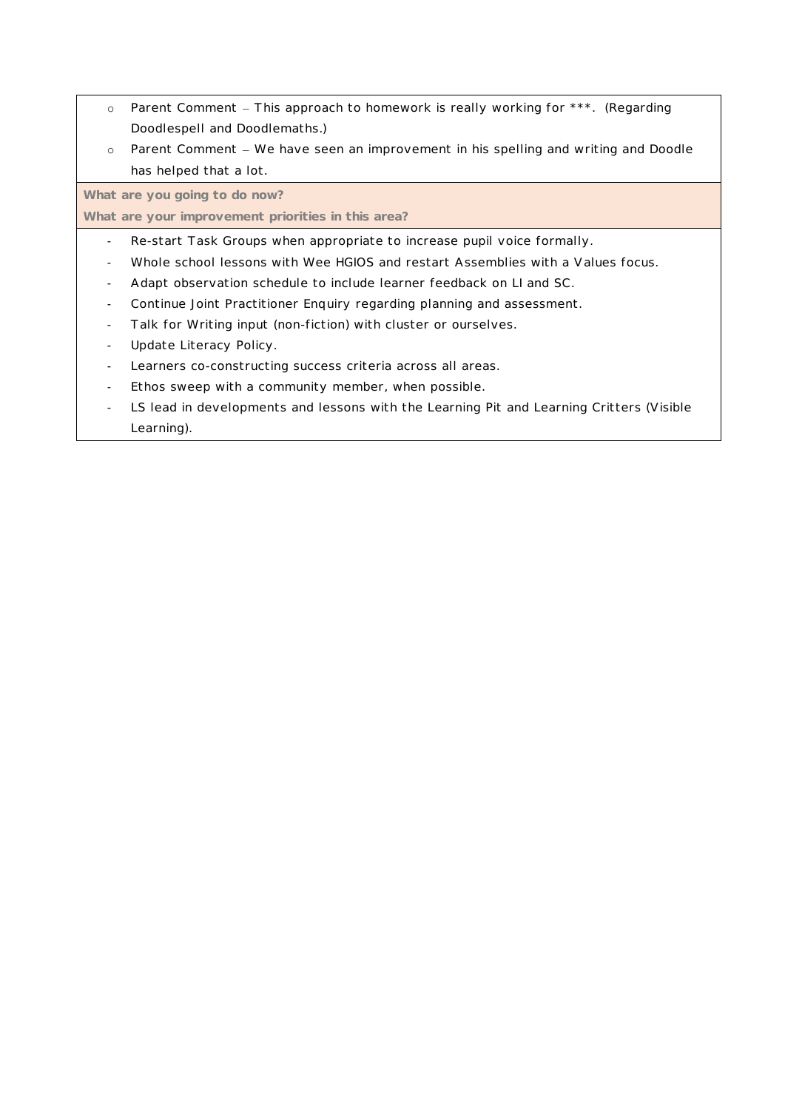- o Parent Comment This approach to homework is really working for \*\*\*. (Regarding Doodlespell and Doodlemaths.)
- o Parent Comment We have seen an improvement in his spelling and writing and Doodle has helped that a lot.

**What are you going to do now?**

**What are your improvement priorities in this area?**

- Re-start Task Groups when appropriate to increase pupil voice formally.
- Whole school lessons with Wee HGIOS and restart Assemblies with a Values focus.
- Adapt observation schedule to include learner feedback on LI and SC.
- Continue Joint Practitioner Enquiry regarding planning and assessment.
- Talk for Writing input (non-fiction) with cluster or ourselves.
- Update Literacy Policy.
- Learners co-constructing success criteria across all areas.
- Ethos sweep with a community member, when possible.
- LS lead in developments and lessons with the Learning Pit and Learning Critters (Visible Learning).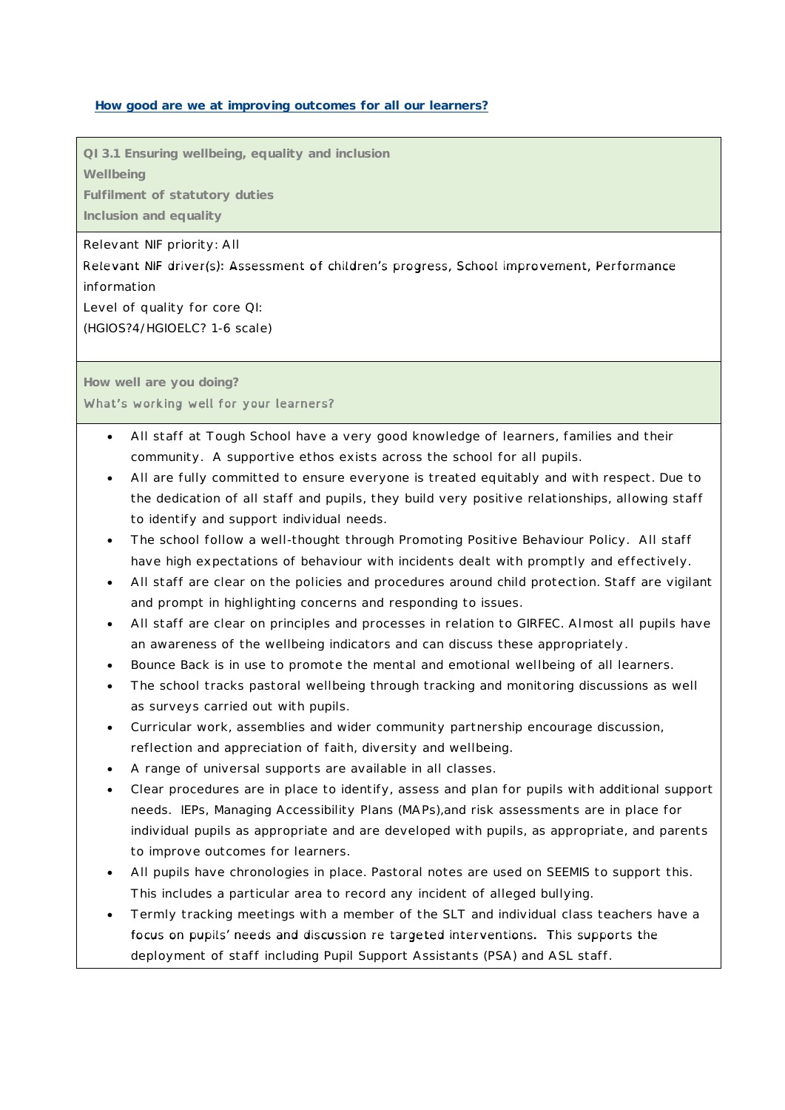#### **How good are we at improving outcomes for all our learners?**

**QI 3.1 Ensuring wellbeing, equality and inclusion**

**Wellbeing**

**Fulfilment of statutory duties**

**Inclusion and equality**

Relevant NIF priority: All

Relevant NIF driver(s): Assessment of children's progress, School improvement, Performance information

Level of quality for core QI:

(HGIOS?4/HGIOELC? 1-6 scale)

**How well are you doing?** What's working well for your learners?

- All staff at Tough School have a very good knowledge of learners, families and their community. A supportive ethos exists across the school for all pupils.
- All are fully committed to ensure everyone is treated equitably and with respect. Due to the dedication of all staff and pupils, they build very positive relationships, allowing staff to identify and support individual needs.
- The school follow a well-thought through Promoting Positive Behaviour Policy. All staff have high expectations of behaviour with incidents dealt with promptly and effectively.
- All staff are clear on the policies and procedures around child protection. Staff are vigilant and prompt in highlighting concerns and responding to issues.
- All staff are clear on principles and processes in relation to GIRFEC. Almost all pupils have an awareness of the wellbeing indicators and can discuss these appropriately.
- Bounce Back is in use to promote the mental and emotional wellbeing of all learners.
- The school tracks pastoral wellbeing through tracking and monitoring discussions as well as surveys carried out with pupils.
- Curricular work, assemblies and wider community partnership encourage discussion, reflection and appreciation of faith, diversity and wellbeing.
- A range of universal supports are available in all classes.
- Clear procedures are in place to identify, assess and plan for pupils with additional support needs. IEPs, Managing Accessibility Plans (MAPs),and risk assessments are in place for individual pupils as appropriate and are developed with pupils, as appropriate, and parents to improve outcomes for learners.
- All pupils have chronologies in place. Pastoral notes are used on SEEMIS to support this. This includes a particular area to record any incident of alleged bullying.
- Termly tracking meetings with a member of the SLT and individual class teachers have a focus on pupils' needs and discussion re targeted interventions. This supports the deployment of staff including Pupil Support Assistants (PSA) and ASL staff.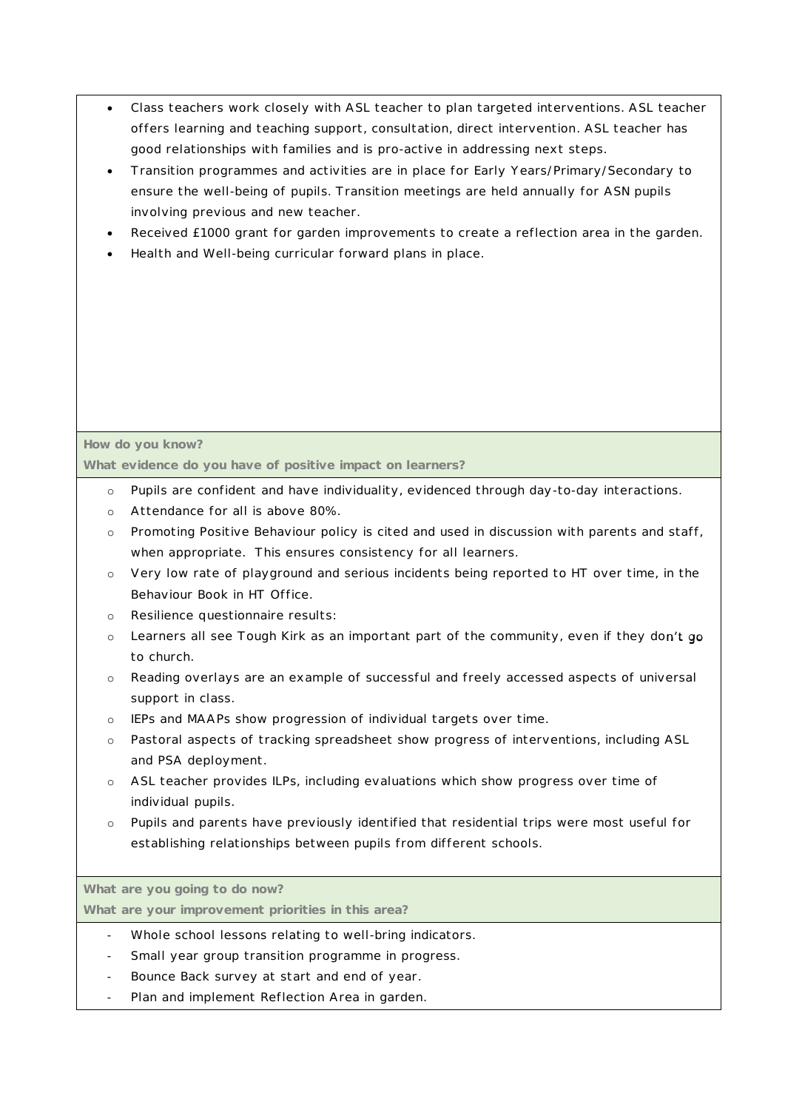- Class teachers work closely with ASL teacher to plan targeted interventions. ASL teacher offers learning and teaching support, consultation, direct intervention. ASL teacher has good relationships with families and is pro-active in addressing next steps.
- Transition programmes and activities are in place for Early Years/Primary/Secondary to ensure the well-being of pupils. Transition meetings are held annually for ASN pupils involving previous and new teacher.
- Received £1000 grant for garden improvements to create a reflection area in the garden.
- Health and Well-being curricular forward plans in place.

#### **How do you know?**

**What evidence do you have of positive impact on learners?**

- o Pupils are confident and have individuality, evidenced through day-to-day interactions.
- o Attendance for all is above 80%.
- o Promoting Positive Behaviour policy is cited and used in discussion with parents and staff, when appropriate. This ensures consistency for all learners.
- o Very low rate of playground and serious incidents being reported to HT over time, in the Behaviour Book in HT Office.
- o Resilience questionnaire results:
- $\circ$  Learners all see Tough Kirk as an important part of the community, even if they don't go to church.
- o Reading overlays are an example of successful and freely accessed aspects of universal support in class.
- o IEPs and MAAPs show progression of individual targets over time.
- o Pastoral aspects of tracking spreadsheet show progress of interventions, including ASL and PSA deployment.
- o ASL teacher provides ILPs, including evaluations which show progress over time of individual pupils.
- o Pupils and parents have previously identified that residential trips were most useful for establishing relationships between pupils from different schools.

**What are you going to do now?**

**What are your improvement priorities in this area?**

- Whole school lessons relating to well-bring indicators.
- Small year group transition programme in progress.
- Bounce Back survey at start and end of year.
- Plan and implement Reflection Area in garden.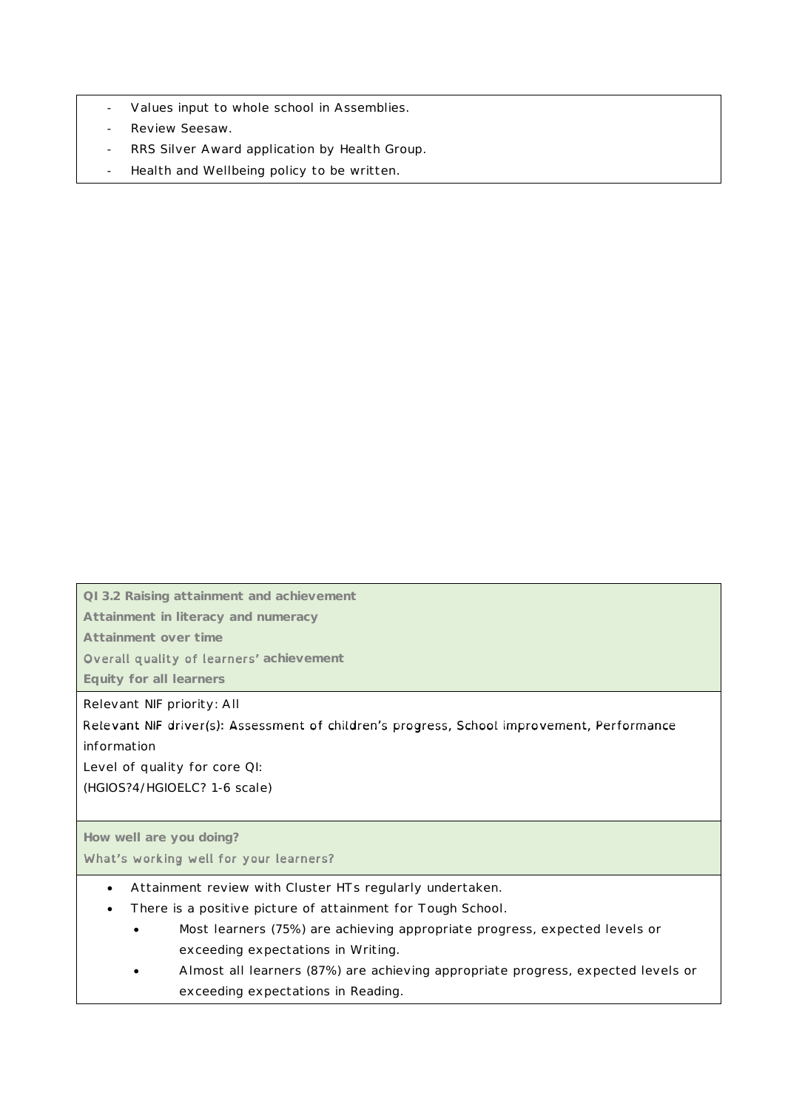- Values input to whole school in Assemblies.
- Review Seesaw.
- RRS Silver Award application by Health Group.
- Health and Wellbeing policy to be written.

**QI 3.2 Raising attainment and achievement**

**Attainment in literacy and numeracy**

**Attainment over time**

**Overall quality of learners'** achievement

**Equity for all learners**

Relevant NIF priority: All

Relevant NIF driver(s): Assessment of children's progress, School improvement, Performance information

Level of quality for core QI:

(HGIOS?4/HGIOELC? 1-6 scale)

#### **How well are you doing?**

What's working well for your learners?

- Attainment review with Cluster HTs regularly undertaken.
- There is a positive picture of attainment for Tough School.
	- Most learners (75%) are achieving appropriate progress, expected levels or exceeding expectations in Writing.
	- Almost all learners (87%) are achieving appropriate progress, expected levels or exceeding expectations in Reading.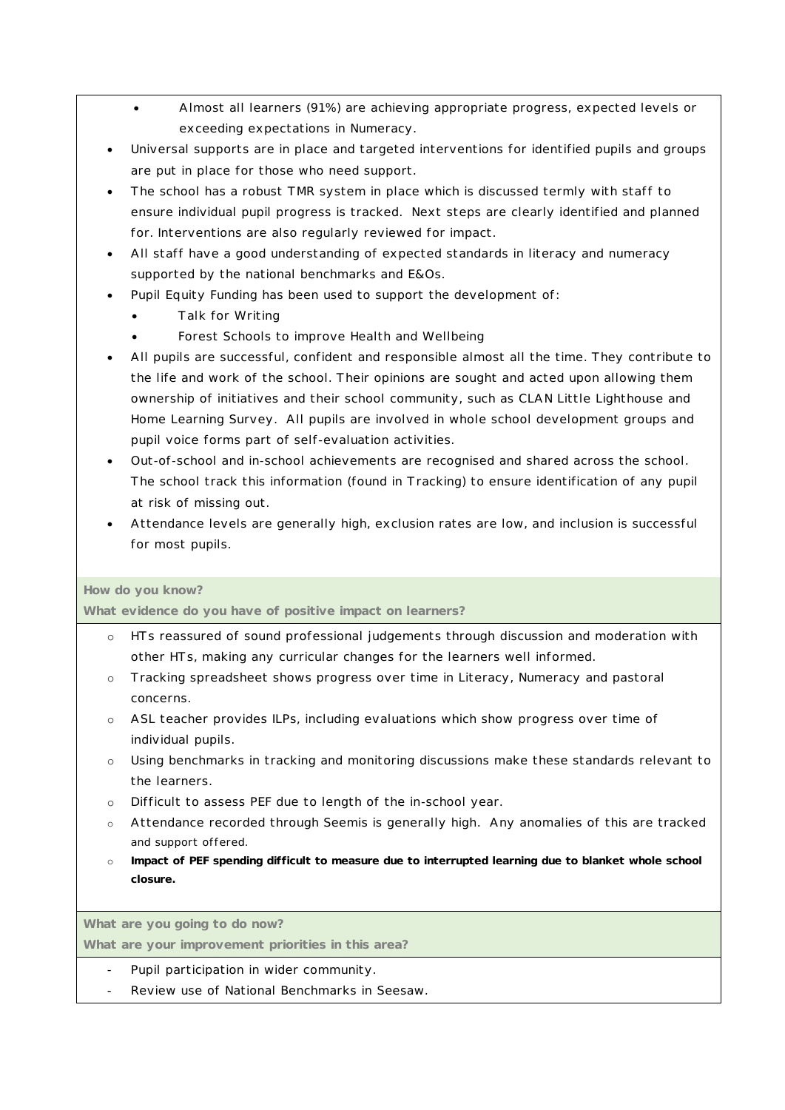- Almost all learners (91%) are achieving appropriate progress, expected levels or exceeding expectations in Numeracy.
- Universal supports are in place and targeted interventions for identified pupils and groups are put in place for those who need support.
- The school has a robust TMR system in place which is discussed termly with staff to ensure individual pupil progress is tracked. Next steps are clearly identified and planned for. Interventions are also regularly reviewed for impact.
- All staff have a good understanding of expected standards in literacy and numeracy supported by the national benchmarks and E&Os.
- Pupil Equity Funding has been used to support the development of:
	- Talk for Writing
	- Forest Schools to improve Health and Wellbeing
- All pupils are successful, confident and responsible almost all the time. They contribute to the life and work of the school. Their opinions are sought and acted upon allowing them ownership of initiatives and their school community, such as CLAN Little Lighthouse and Home Learning Survey. All pupils are involved in whole school development groups and pupil voice forms part of self-evaluation activities.
- Out-of-school and in-school achievements are recognised and shared across the school. The school track this information (found in Tracking) to ensure identification of any pupil at risk of missing out.
- Attendance levels are generally high, exclusion rates are low, and inclusion is successful for most pupils.

#### **How do you know?**

**What evidence do you have of positive impact on learners?**

- o HTs reassured of sound professional judgements through discussion and moderation with other HTs, making any curricular changes for the learners well informed.
- o Tracking spreadsheet shows progress over time in Literacy, Numeracy and pastoral concerns.
- o ASL teacher provides ILPs, including evaluations which show progress over time of individual pupils.
- o Using benchmarks in tracking and monitoring discussions make these standards relevant to the learners.
- o Difficult to assess PEF due to length of the in-school year.
- o Attendance recorded through Seemis is generally high. Any anomalies of this are tracked and support offered.
- o **Impact of PEF spending difficult to measure due to interrupted learning due to blanket whole school closure.**

**What are you going to do now?**

**What are your improvement priorities in this area?**

- Pupil participation in wider community.
- Review use of National Benchmarks in Seesaw.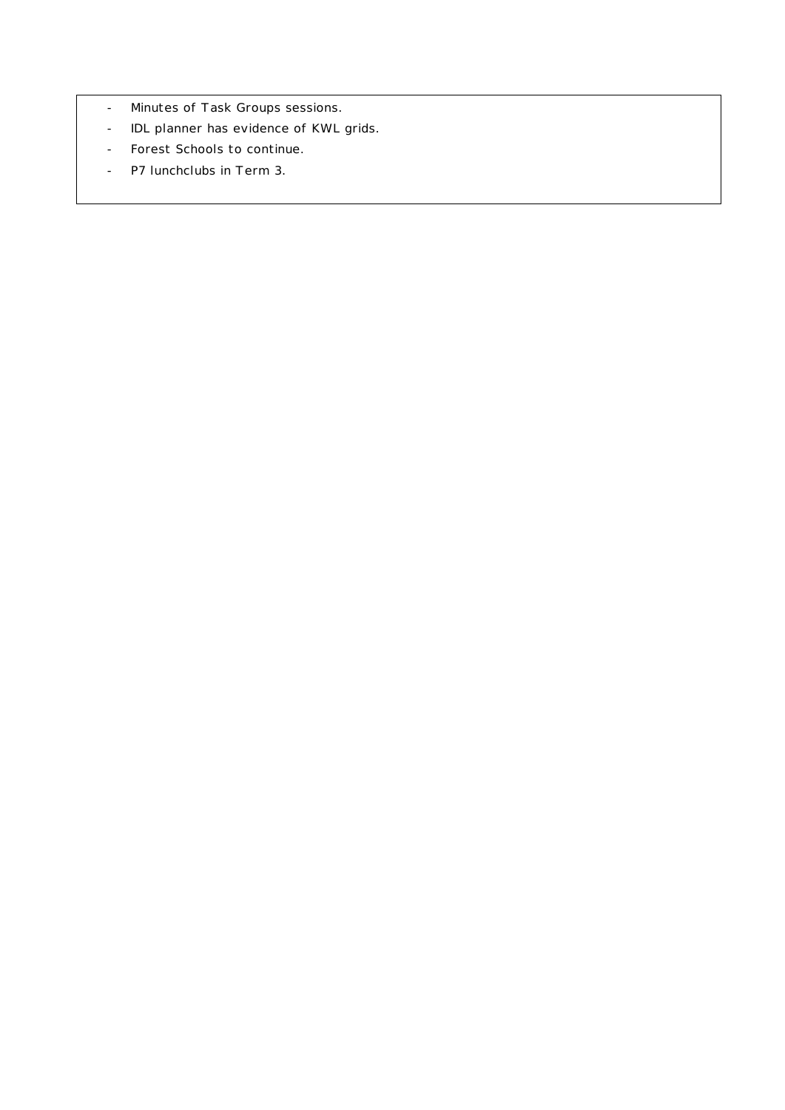- Minutes of Task Groups sessions.
- IDL planner has evidence of KWL grids.
- Forest Schools to continue.
- P7 lunchclubs in Term 3.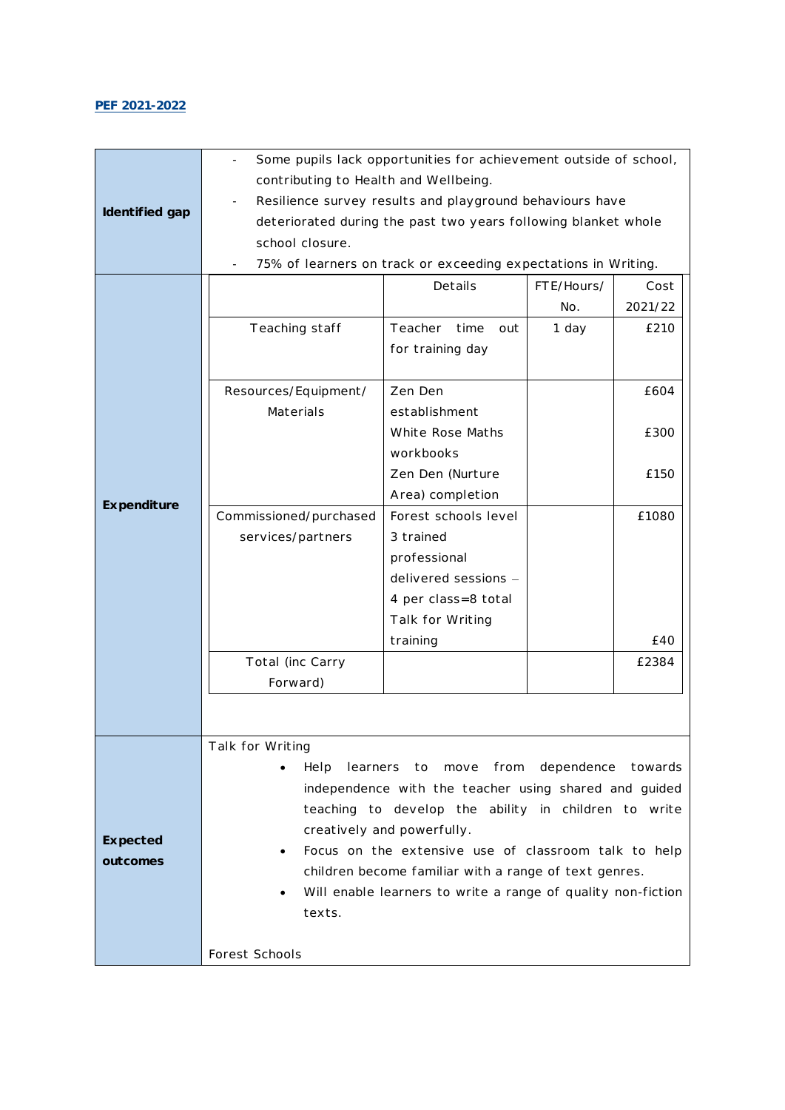#### **PEF 2021-2022**

|                | Some pupils lack opportunities for achievement outside of school, |                                                                |       |         |  |  |
|----------------|-------------------------------------------------------------------|----------------------------------------------------------------|-------|---------|--|--|
|                | contributing to Health and Wellbeing.                             |                                                                |       |         |  |  |
|                | Resilience survey results and playground behaviours have          |                                                                |       |         |  |  |
| Identified gap |                                                                   | deteriorated during the past two years following blanket whole |       |         |  |  |
|                | school closure.                                                   |                                                                |       |         |  |  |
|                |                                                                   | 75% of learners on track or exceeding expectations in Writing. |       |         |  |  |
|                | FTE/Hours/<br>Details<br>Cost                                     |                                                                |       |         |  |  |
|                |                                                                   |                                                                | No.   | 2021/22 |  |  |
|                | Teaching staff                                                    | Teacher<br>time<br>out                                         | 1 day | £210    |  |  |
|                |                                                                   |                                                                |       |         |  |  |
|                |                                                                   | for training day                                               |       |         |  |  |
|                | Resources/Equipment/                                              | Zen Den                                                        |       | £604    |  |  |
|                | Materials                                                         | establishment                                                  |       |         |  |  |
|                |                                                                   | White Rose Maths                                               |       | £300    |  |  |
|                |                                                                   | workbooks                                                      |       |         |  |  |
|                |                                                                   | Zen Den (Nurture                                               |       | £150    |  |  |
|                |                                                                   | Area) completion                                               |       |         |  |  |
| Expenditure    | Commissioned/purchased                                            | Forest schools level                                           |       | £1080   |  |  |
|                | services/partners                                                 | 3 trained                                                      |       |         |  |  |
|                |                                                                   | professional                                                   |       |         |  |  |
|                |                                                                   | delivered sessions -                                           |       |         |  |  |
|                |                                                                   | 4 per class=8 total                                            |       |         |  |  |
|                |                                                                   | Talk for Writing                                               |       |         |  |  |
|                |                                                                   | training                                                       |       | £40     |  |  |
|                | Total (inc Carry                                                  |                                                                |       | £2384   |  |  |
|                | Forward)                                                          |                                                                |       |         |  |  |
|                |                                                                   |                                                                |       |         |  |  |
|                |                                                                   |                                                                |       |         |  |  |
|                | Talk for Writing                                                  |                                                                |       |         |  |  |
|                | learners to move from dependence towards<br>Help                  |                                                                |       |         |  |  |
|                | independence with the teacher using shared and guided             |                                                                |       |         |  |  |
|                | teaching to develop the ability in children to write              |                                                                |       |         |  |  |
| Expected       | creatively and powerfully.                                        |                                                                |       |         |  |  |
| outcomes       |                                                                   | Focus on the extensive use of classroom talk to help           |       |         |  |  |
|                |                                                                   | children become familiar with a range of text genres.          |       |         |  |  |
|                |                                                                   | Will enable learners to write a range of quality non-fiction   |       |         |  |  |
|                | texts.                                                            |                                                                |       |         |  |  |
|                |                                                                   |                                                                |       |         |  |  |
|                | Forest Schools                                                    |                                                                |       |         |  |  |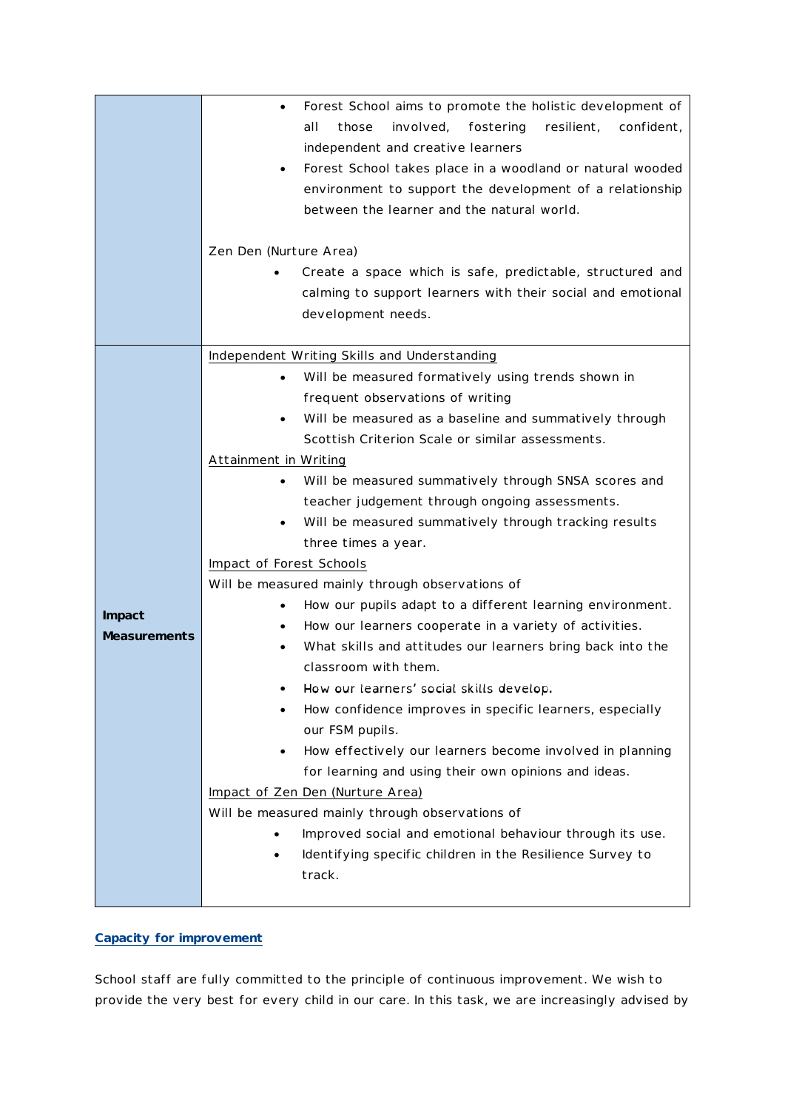|                               | Forest School aims to promote the holistic development of<br>$\bullet$<br>all<br>involved,<br>fostering<br>resilient,<br>confident,<br>those<br>independent and creative learners<br>Forest School takes place in a woodland or natural wooded<br>$\bullet$<br>environment to support the development of a relationship<br>between the learner and the natural world.<br>Zen Den (Nurture Area)<br>Create a space which is safe, predictable, structured and<br>calming to support learners with their social and emotional<br>development needs.                                                                                                                                                                                                                                                                                                                                                                                                                                                                                                                                                                                                                                                                                                                                                                                       |
|-------------------------------|-----------------------------------------------------------------------------------------------------------------------------------------------------------------------------------------------------------------------------------------------------------------------------------------------------------------------------------------------------------------------------------------------------------------------------------------------------------------------------------------------------------------------------------------------------------------------------------------------------------------------------------------------------------------------------------------------------------------------------------------------------------------------------------------------------------------------------------------------------------------------------------------------------------------------------------------------------------------------------------------------------------------------------------------------------------------------------------------------------------------------------------------------------------------------------------------------------------------------------------------------------------------------------------------------------------------------------------------|
| Impact<br><b>Measurements</b> | Independent Writing Skills and Understanding<br>Will be measured formatively using trends shown in<br>$\bullet$<br>frequent observations of writing<br>Will be measured as a baseline and summatively through<br>Scottish Criterion Scale or similar assessments.<br>Attainment in Writing<br>Will be measured summatively through SNSA scores and<br>$\bullet$<br>teacher judgement through ongoing assessments.<br>Will be measured summatively through tracking results<br>$\bullet$<br>three times a year.<br>Impact of Forest Schools<br>Will be measured mainly through observations of<br>How our pupils adapt to a different learning environment.<br>$\bullet$<br>How our learners cooperate in a variety of activities.<br>$\bullet$<br>What skills and attitudes our learners bring back into the<br>$\bullet$<br>classroom with them.<br>How our learners' social skills develop.<br>How confidence improves in specific learners, especially<br>our FSM pupils.<br>How effectively our learners become involved in planning<br>$\bullet$<br>for learning and using their own opinions and ideas.<br>Impact of Zen Den (Nurture Area)<br>Will be measured mainly through observations of<br>Improved social and emotional behaviour through its use.<br>Identifying specific children in the Resilience Survey to<br>track. |

#### **Capacity for improvement**

School staff are fully committed to the principle of continuous improvement. We wish to provide the very best for every child in our care. In this task, we are increasingly advised by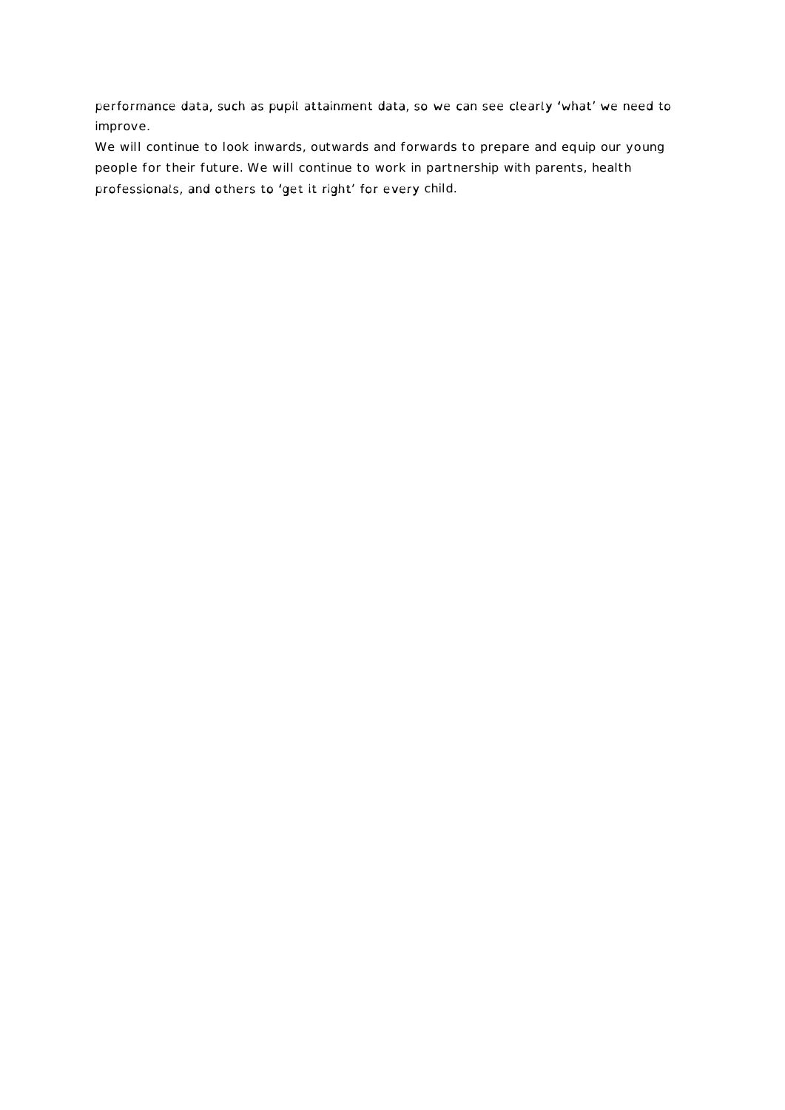performance data, such as pupil attainment data, so we can see clearly 'what' we need to improve.

We will continue to look inwards, outwards and forwards to prepare and equip our young people for their future. We will continue to work in partnership with parents, health professionals, and others to 'get it right' for every child.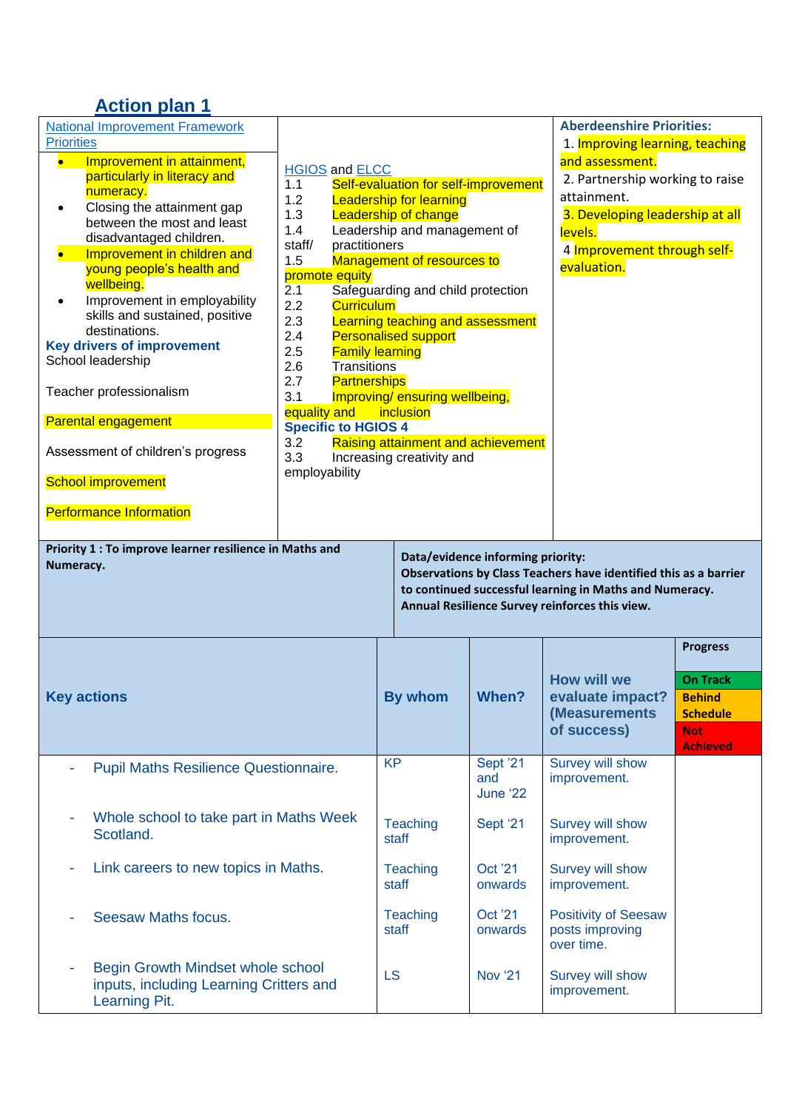## **Action plan 1**

| <b>National Improvement Framework</b><br><b>Priorities</b><br>Improvement in attainment,<br>$\bullet$<br>particularly in literacy and<br>numeracy.<br>Closing the attainment gap<br>between the most and least<br>disadvantaged children.<br>Improvement in children and<br>young people's health and<br>wellbeing.<br>Improvement in employability<br>skills and sustained, positive<br>destinations.<br><b>Key drivers of improvement</b><br>School leadership<br>Teacher professionalism<br><b>Parental engagement</b> | <b>HGIOS</b> and <b>ELCC</b><br>Self-evaluation for self-improvement<br>1.1<br>1.2<br><b>Leadership for learning</b><br>1.3<br><b>Leadership of change</b><br>Leadership and management of<br>1.4<br>practitioners<br>staff/<br>Management of resources to<br>1.5<br>promote equity<br>2.1<br>Safeguarding and child protection<br>2.2<br><b>Curriculum</b><br>2.3<br>Learning teaching and assessment<br>2.4<br><b>Personalised support</b><br>2.5<br><b>Family learning</b><br>2.6<br>Transitions<br>2.7<br><b>Partnerships</b><br>3.1<br>Improving/ensuring wellbeing,<br>equality and<br>inclusion<br><b>Specific to HGIOS 4</b><br>Raising attainment and achievement<br>3.2 |                           |                             | <b>Aberdeenshire Priorities:</b><br>1. Improving learning, teaching<br>and assessment.<br>2. Partnership working to raise<br>attainment.<br>3. Developing leadership at all<br>levels.<br>4 Improvement through self-<br>evaluation. |                                                                                                         |
|---------------------------------------------------------------------------------------------------------------------------------------------------------------------------------------------------------------------------------------------------------------------------------------------------------------------------------------------------------------------------------------------------------------------------------------------------------------------------------------------------------------------------|-----------------------------------------------------------------------------------------------------------------------------------------------------------------------------------------------------------------------------------------------------------------------------------------------------------------------------------------------------------------------------------------------------------------------------------------------------------------------------------------------------------------------------------------------------------------------------------------------------------------------------------------------------------------------------------|---------------------------|-----------------------------|--------------------------------------------------------------------------------------------------------------------------------------------------------------------------------------------------------------------------------------|---------------------------------------------------------------------------------------------------------|
| Assessment of children's progress<br><b>School improvement</b>                                                                                                                                                                                                                                                                                                                                                                                                                                                            | 3.3<br>employability                                                                                                                                                                                                                                                                                                                                                                                                                                                                                                                                                                                                                                                              | Increasing creativity and |                             |                                                                                                                                                                                                                                      |                                                                                                         |
| <b>Performance Information</b>                                                                                                                                                                                                                                                                                                                                                                                                                                                                                            |                                                                                                                                                                                                                                                                                                                                                                                                                                                                                                                                                                                                                                                                                   |                           |                             |                                                                                                                                                                                                                                      |                                                                                                         |
| Priority 1 : To improve learner resilience in Maths and<br>Data/evidence informing priority:<br>Numeracy.<br>Observations by Class Teachers have identified this as a barrier<br>to continued successful learning in Maths and Numeracy.<br>Annual Resilience Survey reinforces this view.                                                                                                                                                                                                                                |                                                                                                                                                                                                                                                                                                                                                                                                                                                                                                                                                                                                                                                                                   |                           |                             |                                                                                                                                                                                                                                      |                                                                                                         |
| <b>Key actions</b>                                                                                                                                                                                                                                                                                                                                                                                                                                                                                                        |                                                                                                                                                                                                                                                                                                                                                                                                                                                                                                                                                                                                                                                                                   | <b>By whom</b>            | When?                       | <b>How will we</b><br>evaluate impact?<br>(Measurements<br>of success)                                                                                                                                                               | <b>Progress</b><br><b>On Track</b><br><b>Behind</b><br><b>Schedule</b><br><b>Not</b><br><b>Achieved</b> |
| Pupil Maths Resilience Questionnaire.                                                                                                                                                                                                                                                                                                                                                                                                                                                                                     |                                                                                                                                                                                                                                                                                                                                                                                                                                                                                                                                                                                                                                                                                   | <b>KP</b>                 | Sept '21<br>and<br>June '22 | <b>Survey will show</b><br>improvement.                                                                                                                                                                                              |                                                                                                         |
| Whole school to take part in Maths Week<br>Scotland.                                                                                                                                                                                                                                                                                                                                                                                                                                                                      |                                                                                                                                                                                                                                                                                                                                                                                                                                                                                                                                                                                                                                                                                   | <b>Teaching</b><br>staff  | Sept '21                    | Survey will show<br>improvement.                                                                                                                                                                                                     |                                                                                                         |
| Link careers to new topics in Maths.                                                                                                                                                                                                                                                                                                                                                                                                                                                                                      |                                                                                                                                                                                                                                                                                                                                                                                                                                                                                                                                                                                                                                                                                   | <b>Teaching</b><br>staff  | Oct '21<br>onwards          | <b>Survey will show</b><br>improvement.                                                                                                                                                                                              |                                                                                                         |
| <b>Seesaw Maths focus.</b>                                                                                                                                                                                                                                                                                                                                                                                                                                                                                                |                                                                                                                                                                                                                                                                                                                                                                                                                                                                                                                                                                                                                                                                                   | <b>Teaching</b><br>staff  | Oct '21<br>onwards          | <b>Positivity of Seesaw</b><br>posts improving<br>over time.                                                                                                                                                                         |                                                                                                         |
| Begin Growth Mindset whole school<br>inputs, including Learning Critters and<br>Learning Pit.                                                                                                                                                                                                                                                                                                                                                                                                                             |                                                                                                                                                                                                                                                                                                                                                                                                                                                                                                                                                                                                                                                                                   | <b>LS</b>                 | <b>Nov '21</b>              | Survey will show<br>improvement.                                                                                                                                                                                                     |                                                                                                         |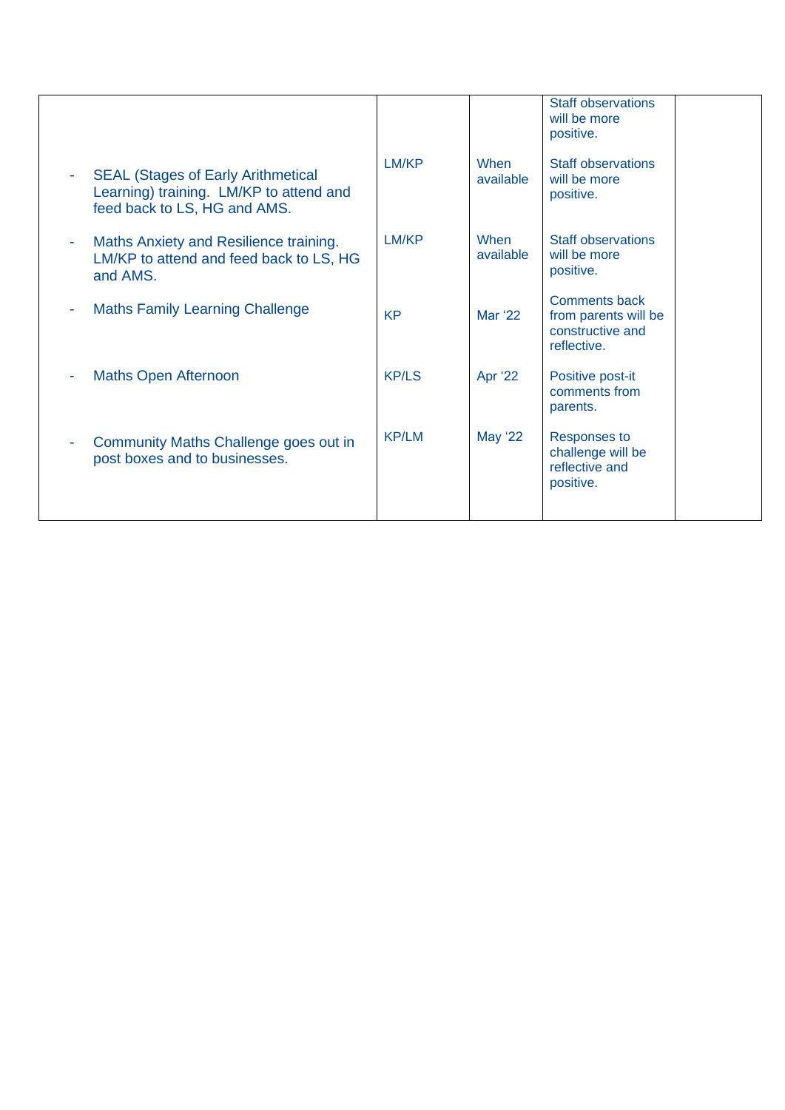|                                                                                                                      |              |                   | <b>Staff observations</b><br>will be more<br>positive.                          |
|----------------------------------------------------------------------------------------------------------------------|--------------|-------------------|---------------------------------------------------------------------------------|
| <b>SEAL (Stages of Early Arithmetical</b><br>Learning) training. LM/KP to attend and<br>feed back to LS, HG and AMS. | LM/KP        | When<br>available | <b>Staff observations</b><br>will be more<br>positive.                          |
| Maths Anxiety and Resilience training.<br>LM/KP to attend and feed back to LS, HG<br>and AMS.                        | LM/KP        | When<br>available | <b>Staff observations</b><br>will be more<br>positive.                          |
| <b>Maths Family Learning Challenge</b>                                                                               | <b>KP</b>    | Mar '22           | <b>Comments back</b><br>from parents will be<br>constructive and<br>reflective. |
| <b>Maths Open Afternoon</b>                                                                                          | <b>KP/LS</b> | Apr '22           | Positive post-it<br>comments from<br>parents.                                   |
| Community Maths Challenge goes out in<br>post boxes and to businesses.                                               | <b>KP/LM</b> | May '22           | Responses to<br>challenge will be<br>reflective and<br>positive.                |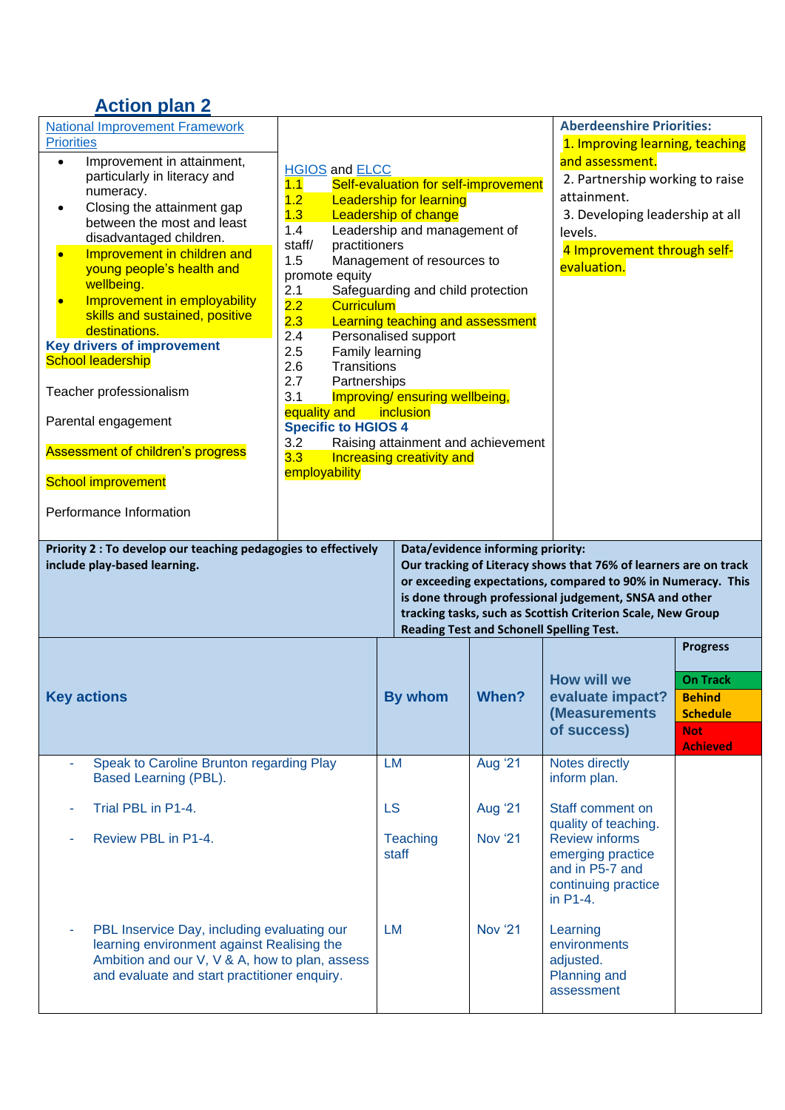## **Action plan 2**

| <b>National Improvement Framework</b>                                                                                                                                                                                                                                                                                                                                                                                          |                                                                                                                                                                                                                                                                                                                                                                                                                                                                                       |                                                                 |                                                                                      | <b>Aberdeenshire Priorities:</b>                                                                                                                                                                                                                          |                                                                   |
|--------------------------------------------------------------------------------------------------------------------------------------------------------------------------------------------------------------------------------------------------------------------------------------------------------------------------------------------------------------------------------------------------------------------------------|---------------------------------------------------------------------------------------------------------------------------------------------------------------------------------------------------------------------------------------------------------------------------------------------------------------------------------------------------------------------------------------------------------------------------------------------------------------------------------------|-----------------------------------------------------------------|--------------------------------------------------------------------------------------|-----------------------------------------------------------------------------------------------------------------------------------------------------------------------------------------------------------------------------------------------------------|-------------------------------------------------------------------|
| <b>Priorities</b><br>Improvement in attainment,<br>$\bullet$<br>particularly in literacy and<br>numeracy.<br>Closing the attainment gap<br>between the most and least<br>disadvantaged children.<br>Improvement in children and<br>young people's health and<br>wellbeing.<br>Improvement in employability<br>skills and sustained, positive<br>destinations.<br><b>Key drivers of improvement</b><br><b>School leadership</b> | <b>HGIOS and ELCC</b><br>1.1<br>Self-evaluation for self-improvement<br>1.2<br><b>Leadership for learning</b><br>1.3<br><b>Leadership of change</b><br>Leadership and management of<br>1.4<br>practitioners<br>staff/<br>1.5<br>Management of resources to<br>promote equity<br>Safeguarding and child protection<br>2.1<br>2.2<br><b>Curriculum</b><br>Learning teaching and assessment<br>2.3<br>Personalised support<br>2.4<br>2.5<br>Family learning<br>2.6<br><b>Transitions</b> |                                                                 |                                                                                      | 1. Improving learning, teaching<br>and assessment.<br>2. Partnership working to raise<br>attainment.<br>3. Developing leadership at all<br>levels.<br>4 Improvement through self-<br>evaluation.                                                          |                                                                   |
| Teacher professionalism                                                                                                                                                                                                                                                                                                                                                                                                        | 2.7<br>Partnerships<br>3.1                                                                                                                                                                                                                                                                                                                                                                                                                                                            | Improving/ ensuring wellbeing,                                  |                                                                                      |                                                                                                                                                                                                                                                           |                                                                   |
| Parental engagement                                                                                                                                                                                                                                                                                                                                                                                                            | equality and<br><b>Specific to HGIOS 4</b>                                                                                                                                                                                                                                                                                                                                                                                                                                            | inclusion                                                       |                                                                                      |                                                                                                                                                                                                                                                           |                                                                   |
| <b>Assessment of children's progress</b>                                                                                                                                                                                                                                                                                                                                                                                       | 3.2<br>3.3<br>employability                                                                                                                                                                                                                                                                                                                                                                                                                                                           | Raising attainment and achievement<br>Increasing creativity and |                                                                                      |                                                                                                                                                                                                                                                           |                                                                   |
| <b>School improvement</b>                                                                                                                                                                                                                                                                                                                                                                                                      |                                                                                                                                                                                                                                                                                                                                                                                                                                                                                       |                                                                 |                                                                                      |                                                                                                                                                                                                                                                           |                                                                   |
| Performance Information                                                                                                                                                                                                                                                                                                                                                                                                        |                                                                                                                                                                                                                                                                                                                                                                                                                                                                                       |                                                                 |                                                                                      |                                                                                                                                                                                                                                                           |                                                                   |
| Priority 2 : To develop our teaching pedagogies to effectively<br>include play-based learning.                                                                                                                                                                                                                                                                                                                                 |                                                                                                                                                                                                                                                                                                                                                                                                                                                                                       |                                                                 | Data/evidence informing priority:<br><b>Reading Test and Schonell Spelling Test.</b> | Our tracking of Literacy shows that 76% of learners are on track<br>or exceeding expectations, compared to 90% in Numeracy. This<br>is done through professional judgement, SNSA and other<br>tracking tasks, such as Scottish Criterion Scale, New Group |                                                                   |
|                                                                                                                                                                                                                                                                                                                                                                                                                                |                                                                                                                                                                                                                                                                                                                                                                                                                                                                                       |                                                                 |                                                                                      |                                                                                                                                                                                                                                                           | <b>Progress</b>                                                   |
| <b>Key actions</b>                                                                                                                                                                                                                                                                                                                                                                                                             |                                                                                                                                                                                                                                                                                                                                                                                                                                                                                       |                                                                 |                                                                                      |                                                                                                                                                                                                                                                           |                                                                   |
|                                                                                                                                                                                                                                                                                                                                                                                                                                |                                                                                                                                                                                                                                                                                                                                                                                                                                                                                       | By whom                                                         | When?                                                                                | <b>How will we</b><br>evaluate impact?<br>(Measurements<br>of success)                                                                                                                                                                                    | <b>On Track</b><br><b>Behind</b><br><b>Schedule</b><br><b>Not</b> |
| Speak to Caroline Brunton regarding Play<br>Based Learning (PBL).                                                                                                                                                                                                                                                                                                                                                              |                                                                                                                                                                                                                                                                                                                                                                                                                                                                                       | <b>LM</b>                                                       | <b>Aug '21</b>                                                                       | Notes directly<br>inform plan.                                                                                                                                                                                                                            | <b>Achieved</b>                                                   |
| Trial PBL in P1-4.                                                                                                                                                                                                                                                                                                                                                                                                             |                                                                                                                                                                                                                                                                                                                                                                                                                                                                                       | <b>LS</b>                                                       | <b>Aug '21</b>                                                                       | Staff comment on                                                                                                                                                                                                                                          |                                                                   |
| Review PBL in P1-4.                                                                                                                                                                                                                                                                                                                                                                                                            |                                                                                                                                                                                                                                                                                                                                                                                                                                                                                       | <b>Teaching</b><br>staff                                        | <b>Nov '21</b>                                                                       | quality of teaching.<br><b>Review informs</b><br>emerging practice<br>and in P5-7 and<br>continuing practice<br>in P1-4.                                                                                                                                  |                                                                   |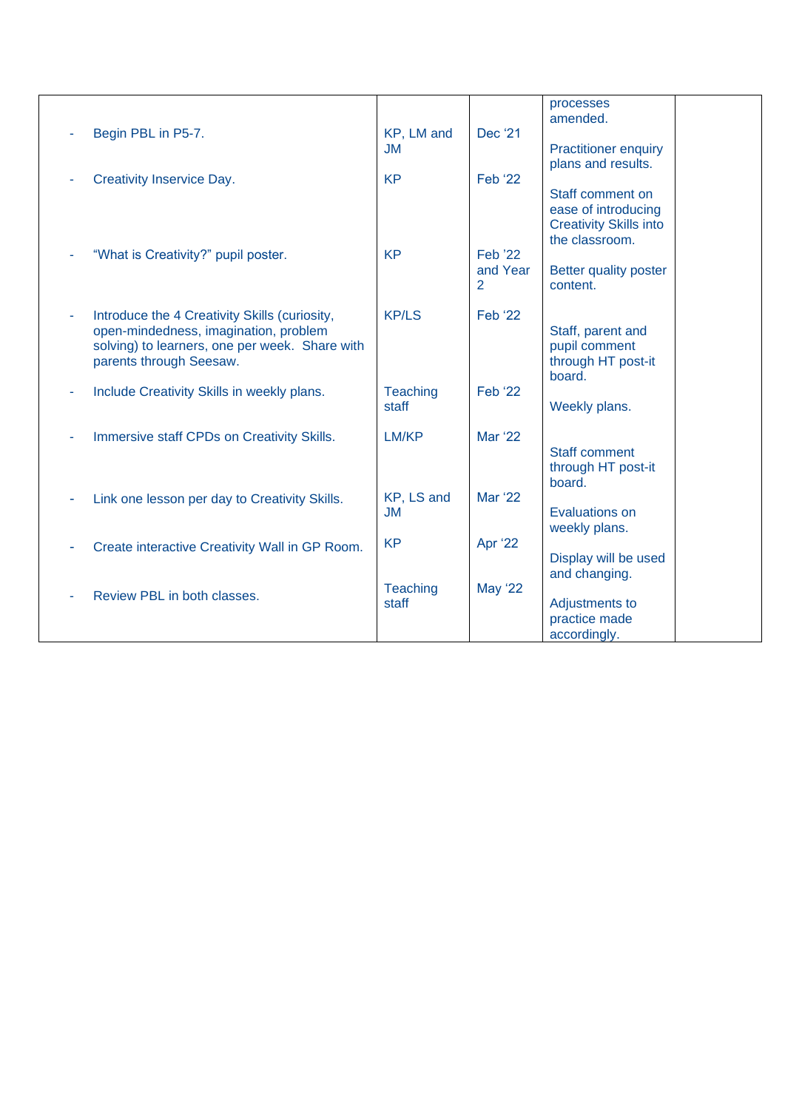|   |                                                                           |                          |                | processes<br>amended.                           |  |
|---|---------------------------------------------------------------------------|--------------------------|----------------|-------------------------------------------------|--|
|   | Begin PBL in P5-7.                                                        | KP, LM and               | Dec '21        |                                                 |  |
|   |                                                                           | <b>JM</b>                |                | <b>Practitioner enquiry</b>                     |  |
|   | <b>Creativity Inservice Day.</b>                                          | <b>KP</b>                | <b>Feb</b> '22 | plans and results.                              |  |
|   |                                                                           |                          |                | Staff comment on                                |  |
|   |                                                                           |                          |                | ease of introducing                             |  |
|   |                                                                           |                          |                | <b>Creativity Skills into</b><br>the classroom. |  |
|   | "What is Creativity?" pupil poster.                                       | <b>KP</b>                | <b>Feb '22</b> |                                                 |  |
|   |                                                                           |                          | and Year       | Better quality poster                           |  |
|   |                                                                           |                          | 2              | content.                                        |  |
| ÷ | Introduce the 4 Creativity Skills (curiosity,                             | <b>KP/LS</b>             | <b>Feb '22</b> |                                                 |  |
|   | open-mindedness, imagination, problem                                     |                          |                | Staff, parent and                               |  |
|   | solving) to learners, one per week. Share with<br>parents through Seesaw. |                          |                | pupil comment<br>through HT post-it             |  |
|   |                                                                           |                          |                | board.                                          |  |
|   | Include Creativity Skills in weekly plans.                                | <b>Teaching</b>          | <b>Feb</b> '22 |                                                 |  |
|   |                                                                           | staff                    |                | Weekly plans.                                   |  |
|   | Immersive staff CPDs on Creativity Skills.                                | LM/KP                    | Mar '22        |                                                 |  |
|   |                                                                           |                          |                | <b>Staff comment</b>                            |  |
|   |                                                                           |                          |                | through HT post-it<br>board.                    |  |
|   | Link one lesson per day to Creativity Skills.                             | KP, LS and               | <b>Mar '22</b> |                                                 |  |
|   |                                                                           | <b>JM</b>                |                | Evaluations on                                  |  |
|   |                                                                           | <b>KP</b>                | Apr '22        | weekly plans.                                   |  |
|   | Create interactive Creativity Wall in GP Room.                            |                          |                | Display will be used                            |  |
|   |                                                                           |                          |                | and changing.                                   |  |
|   | Review PBL in both classes.                                               | <b>Teaching</b><br>staff | <b>May '22</b> | Adjustments to                                  |  |
|   |                                                                           |                          |                | practice made                                   |  |
|   |                                                                           |                          |                | accordingly.                                    |  |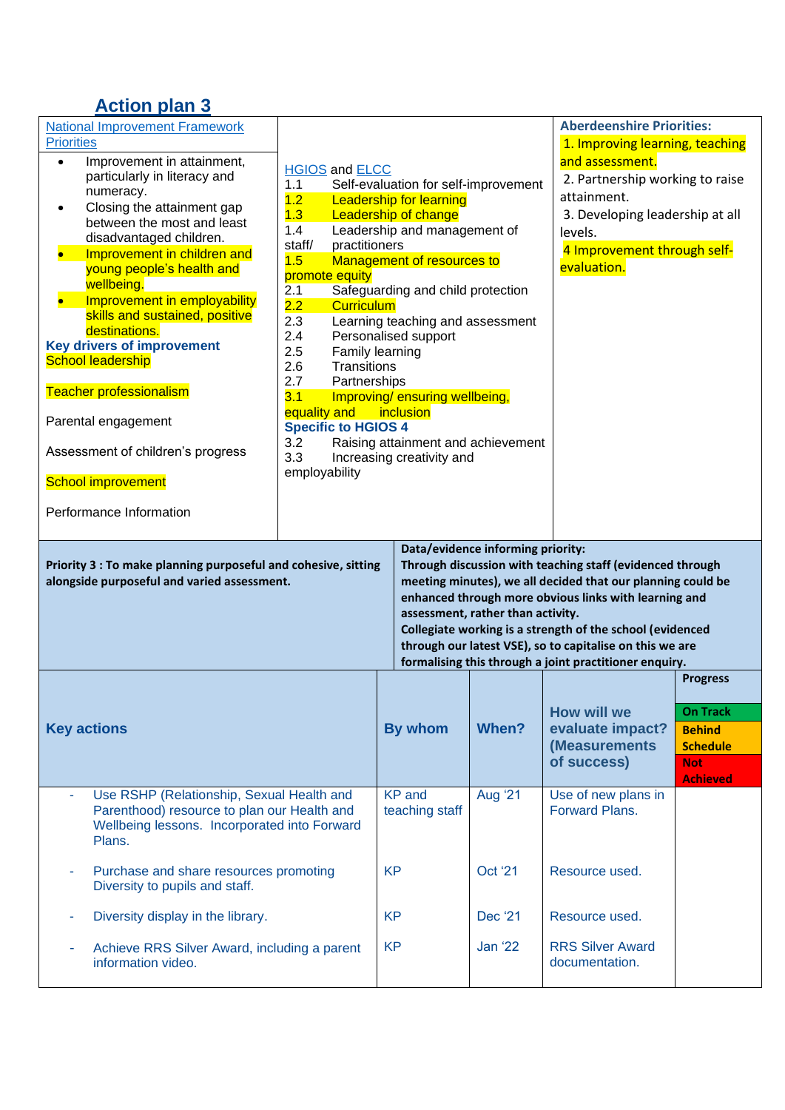## **Action plan 3**

| <b>National Improvement Framework</b><br><b>Priorities</b><br>Improvement in attainment,<br>$\bullet$<br>particularly in literacy and<br>numeracy.<br>Closing the attainment gap<br>between the most and least<br>disadvantaged children.<br>Improvement in children and<br>young people's health and<br>wellbeing.<br>Improvement in employability<br>skills and sustained, positive<br>destinations.<br><b>Key drivers of improvement</b><br><b>School leadership</b><br><b>Teacher professionalism</b><br>Parental engagement<br>Assessment of children's progress<br><b>School improvement</b><br>Performance Information | <b>HGIOS and ELCC</b><br>1.1<br>Self-evaluation for self-improvement<br>1.2<br><b>Leadership for learning</b><br>1.3<br><b>Leadership of change</b><br>1.4<br>Leadership and management of<br>practitioners<br>staff/<br>Management of resources to<br>1.5<br>promote equity<br>Safeguarding and child protection<br>2.1<br>2.2<br><b>Curriculum</b><br>2.3<br>Learning teaching and assessment<br>2.4<br>Personalised support<br>2.5<br>Family learning<br>2.6<br><b>Transitions</b><br>2.7<br>Partnerships<br>3.1<br>Improving/ensuring wellbeing,<br>equality and<br>inclusion<br><b>Specific to HGIOS 4</b><br>Raising attainment and achievement<br>3.2<br>3.3<br>Increasing creativity and<br>employability |                                 |                                                                        | <b>Aberdeenshire Priorities:</b><br>1. Improving learning, teaching<br>and assessment.<br>2. Partnership working to raise<br>attainment.<br>3. Developing leadership at all<br>levels.<br>4 Improvement through self-<br>evaluation.                                                                                                                                 |                                                                                                         |
|-------------------------------------------------------------------------------------------------------------------------------------------------------------------------------------------------------------------------------------------------------------------------------------------------------------------------------------------------------------------------------------------------------------------------------------------------------------------------------------------------------------------------------------------------------------------------------------------------------------------------------|-------------------------------------------------------------------------------------------------------------------------------------------------------------------------------------------------------------------------------------------------------------------------------------------------------------------------------------------------------------------------------------------------------------------------------------------------------------------------------------------------------------------------------------------------------------------------------------------------------------------------------------------------------------------------------------------------------------------|---------------------------------|------------------------------------------------------------------------|----------------------------------------------------------------------------------------------------------------------------------------------------------------------------------------------------------------------------------------------------------------------------------------------------------------------------------------------------------------------|---------------------------------------------------------------------------------------------------------|
| Priority 3 : To make planning purposeful and cohesive, sitting<br>alongside purposeful and varied assessment.                                                                                                                                                                                                                                                                                                                                                                                                                                                                                                                 |                                                                                                                                                                                                                                                                                                                                                                                                                                                                                                                                                                                                                                                                                                                   |                                 | Data/evidence informing priority:<br>assessment, rather than activity. | Through discussion with teaching staff (evidenced through<br>meeting minutes), we all decided that our planning could be<br>enhanced through more obvious links with learning and<br>Collegiate working is a strength of the school (evidenced<br>through our latest VSE), so to capitalise on this we are<br>formalising this through a joint practitioner enquiry. |                                                                                                         |
| <b>Key actions</b>                                                                                                                                                                                                                                                                                                                                                                                                                                                                                                                                                                                                            |                                                                                                                                                                                                                                                                                                                                                                                                                                                                                                                                                                                                                                                                                                                   | <b>By whom</b>                  | When?                                                                  | <b>How will we</b><br>evaluate impact?<br>(Measurements)<br>of success)                                                                                                                                                                                                                                                                                              | <b>Progress</b><br><b>On Track</b><br><b>Behind</b><br><b>Schedule</b><br><b>Not</b><br><b>Achieved</b> |
| Use RSHP (Relationship, Sexual Health and<br>Parenthood) resource to plan our Health and<br>Wellbeing lessons. Incorporated into Forward<br>Plans.                                                                                                                                                                                                                                                                                                                                                                                                                                                                            |                                                                                                                                                                                                                                                                                                                                                                                                                                                                                                                                                                                                                                                                                                                   | <b>KP</b> and<br>teaching staff | <b>Aug '21</b>                                                         | Use of new plans in<br><b>Forward Plans.</b>                                                                                                                                                                                                                                                                                                                         |                                                                                                         |
| Purchase and share resources promoting<br>×<br>Diversity to pupils and staff.                                                                                                                                                                                                                                                                                                                                                                                                                                                                                                                                                 |                                                                                                                                                                                                                                                                                                                                                                                                                                                                                                                                                                                                                                                                                                                   | <b>KP</b>                       | <b>Oct '21</b>                                                         | Resource used.                                                                                                                                                                                                                                                                                                                                                       |                                                                                                         |
| Diversity display in the library.<br>٠                                                                                                                                                                                                                                                                                                                                                                                                                                                                                                                                                                                        |                                                                                                                                                                                                                                                                                                                                                                                                                                                                                                                                                                                                                                                                                                                   | <b>KP</b>                       | Dec '21                                                                | Resource used.                                                                                                                                                                                                                                                                                                                                                       |                                                                                                         |
| Achieve RRS Silver Award, including a parent<br>٠<br>information video.                                                                                                                                                                                                                                                                                                                                                                                                                                                                                                                                                       |                                                                                                                                                                                                                                                                                                                                                                                                                                                                                                                                                                                                                                                                                                                   | <b>KP</b>                       | <b>Jan '22</b>                                                         | <b>RRS Silver Award</b><br>documentation.                                                                                                                                                                                                                                                                                                                            |                                                                                                         |